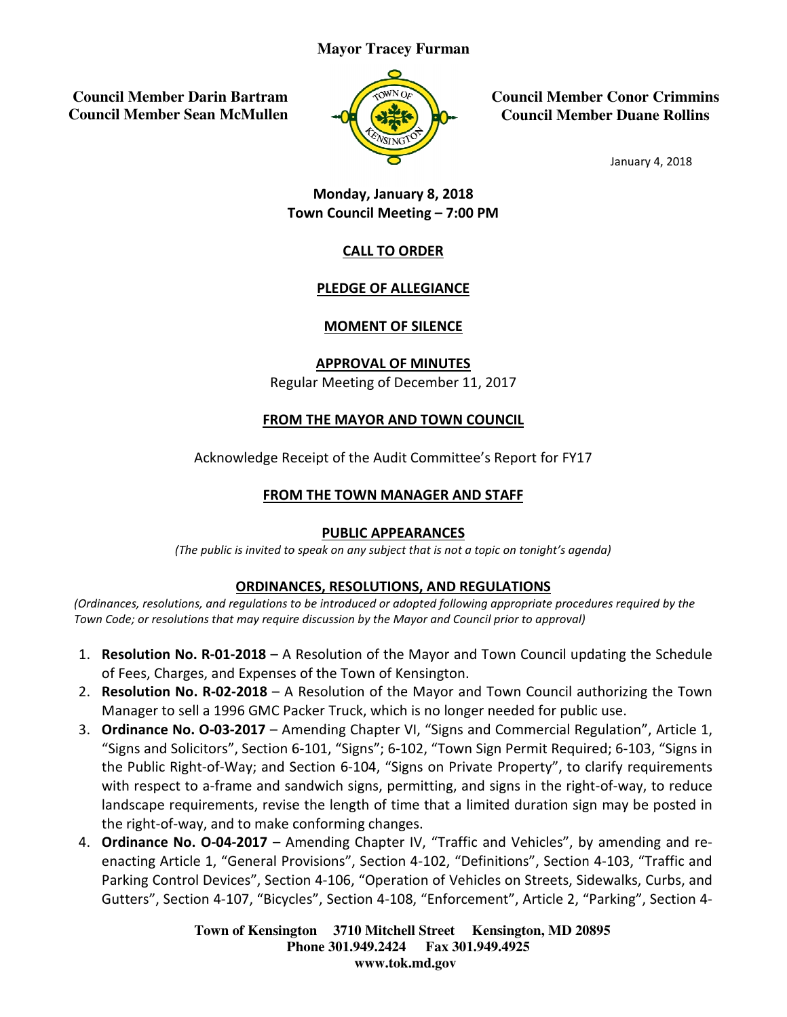#### **Mayor Tracey Furman**

 **Council Member Darin Bartram Council Member Sean McMullen** 



**Council Member Conor Crimmins Council Member Council Member Duane Rollins**

January 4, 2018

#### Town Council Meeting Council Meeting – 7:00 PM Monday, January 8, 2018

#### CALL TO ORDER

#### PLEDGE OF ALLEGIANCE

#### MOMENT OF SILENCE

Regular Meeting of December 11, 2017 APPROVAL OF MINUTES

### **FROM THE MAYOR AND TOWN COUNCIL**

Acknowledge Receipt of the Audit Committee's Report for FY17

# <u>FROM THE TOWN MANAGER AND STAFF</u><br>PUBLIC APPEARANCES

(The public is invited to speak on any subject that is not a topic on tonight's agenda)

#### ORDINANCES, RESOLUTIONS, AND REGULATIONS

(Ordinances, resolutions, and regulations to be introduced or adopted following appropriate procedures required by the Town Code; or resolutions that may require discussion by the Mayor and Council prior to approval)

- 1. **Resolution No. R-01-2018** A Resolution of the Mayor and Town Council updating the Schedule of Fees, Charges, and Expenses of the Town of Kensington.
- 2. Resolution No. R-02-2018 A Resolution of the Mayor and Town Council authorizing the Town Manager to sell a 1996 GMC Packer Truck, which is no longer needed for public use. **on No. R-01-2018** – A Resolution of the Mayor and Town Council updating<br>Charges, and Expenses of the Town of Kensington.<br>**on No. R-02-2018** – A Resolution of the Mayor and Town Council authorizi<br>r to sell a 1996 GMC Packe
- 3. Ordinance No. O-03-2017 Amending Chapter VI, "Signs and Commercial Regulation", Article 1, Manager to sell a 1996 GMC Packer Truck, which is no longer needed for public use.<br>**Ordinance No. O-03-2017** – Amending Chapter VI, "Signs and Commercial Regulation", Article 1,<br>"Signs and Solicitors", Section 6-101, "Sign the Public Right-of-Way; and Section 6-104, "Signs on Private Property", to clarify requirements the Public Right-of-Way; and Section 6-104, "Signs on Private Property", to clarify requirements<br>with respect to a-frame and sandwich signs, permitting, and signs in the right-of-way, to reduce landscape requirements, revise the length of time that a limited duration sign may be posted in the right-of-way, and to make conforming changes. with respect to a-frame and sandwich signs, permitting, and signs in the right-of-way, to reduce<br>landscape requirements, revise the length of time that a limited duration sign may be posted in<br>the right-of-way, and to make
- 4. Ordinance No. O-04-2017 Amending Chapter IV, "Traffic and Vehicles", by amending and re-Parking Control Devices", Section 4-106, "Operation of Vehicles on Streets, Sidewalks, Curbs, and Parking Control Devices", Section 4-106, "Operation of Vehicles on Streets, Sidewalks, Curbs, and<br>Gutters", Section 4-107, "Bicycles", Section 4-108, "Enforcement", Article 2, "Parking", Section 4-

**Town of Kensington Kensington 3710 Mitchell Street Kensington, MD 20895 Phone 301.949.2424 Fax 301.949.4925 www.tok.md.gov**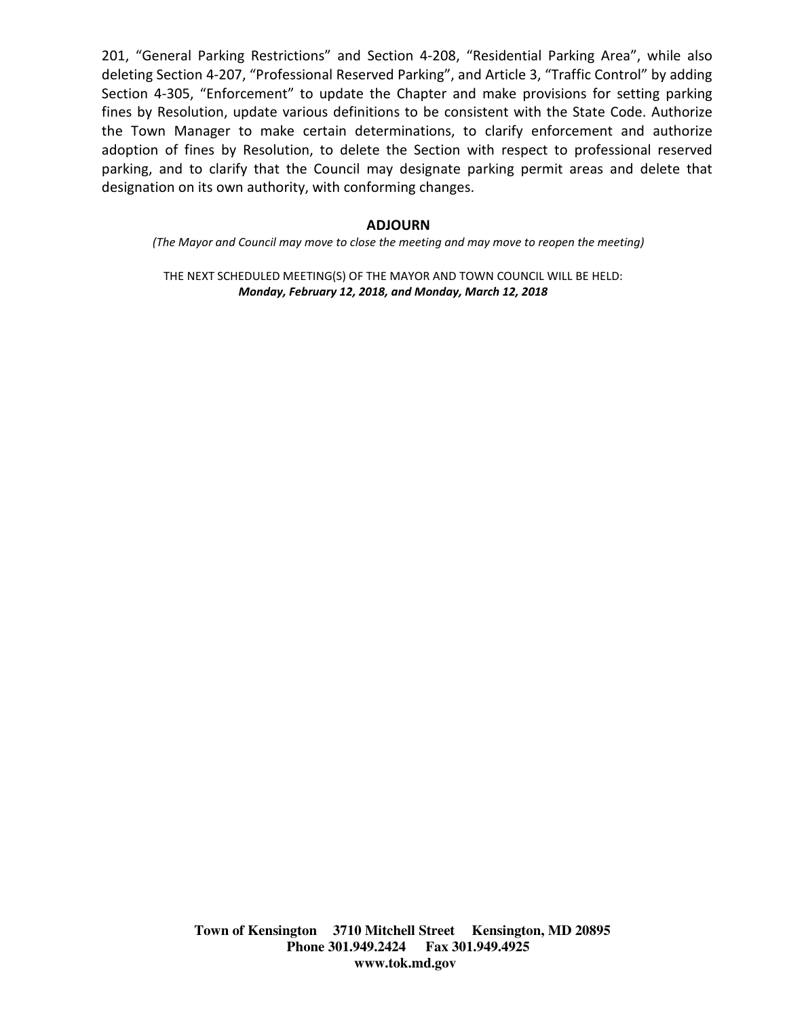201, "General Parking Restrictions" and Section 4-208, "Residential Parking Area", while also deleting Section 4-207, "Professional Reserved Parking", and Article 3, "Traffic Control" by adding Section 4-305, "Enforcement" to update the Chapter and make provisions for setting parking fines by Resolution, update various definitions to be consistent with the State Code. Authorize the Town Manager to make certain determinations, to clarify enforcement and authorize adoption of fines by Resolution, to delete the Section with respect to professional reserved parking, and to clarify that the Council may designate parking permit areas and delete that designation on its own authority, with conforming changes.

#### ADJOURN

(The Mayor and Council may move to close the meeting and may move to reopen the meeting)

THE NEXT SCHEDULED MEETING(S) OF THE MAYOR AND TOWN COUNCIL WILL BE HELD: Monday, February 12, 2018, and Monday, March 12, 2018

**Town of Kensington 3710 Mitchell Street Kensington, MD 20895 Phone 301.949.2424 Fax 301.949.4925 www.tok.md.gov**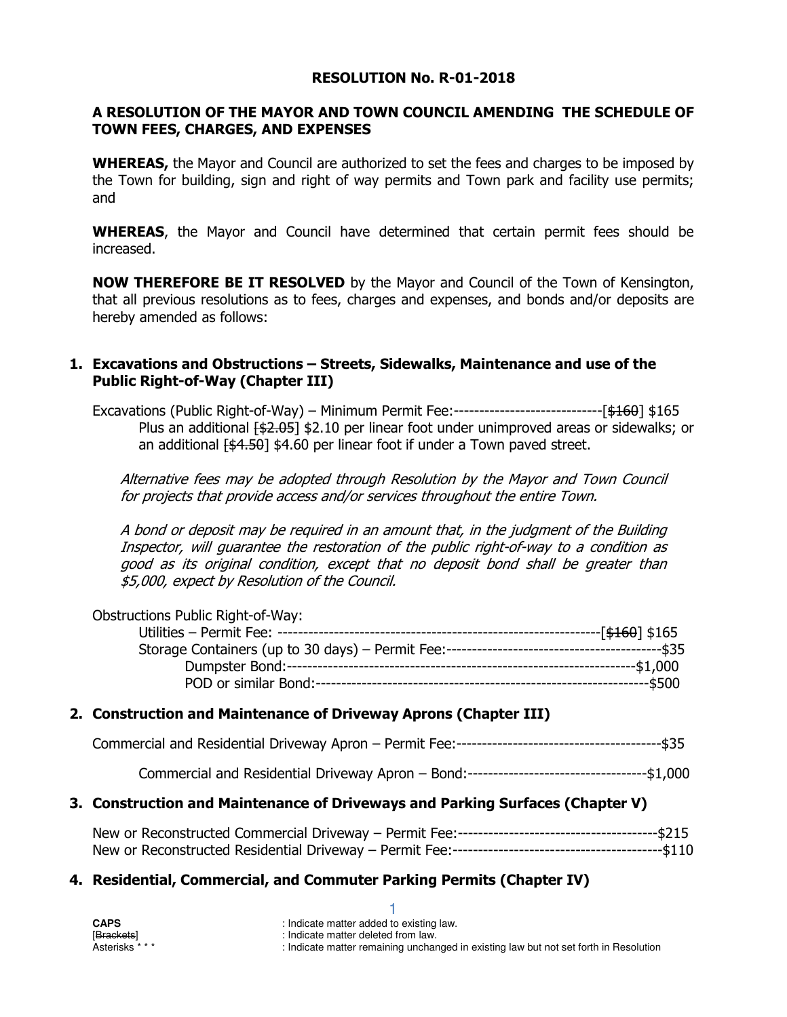#### RESOLUTION No. R-01-2018

#### A RESOLUTION OF THE MAYOR AND TOWN COUNCIL AMENDING THE SCHEDULE OF TOWN FEES, CHARGES, AND EXPENSES

**WHEREAS,** the Mayor and Council are authorized to set the fees and charges to be imposed by the Town for building, sign and right of way permits and Town park and facility use permits; and

WHEREAS, the Mayor and Council have determined that certain permit fees should be increased.

NOW THEREFORE BE IT RESOLVED by the Mayor and Council of the Town of Kensington, that all previous resolutions as to fees, charges and expenses, and bonds and/or deposits are hereby amended as follows:

#### 1. Excavations and Obstructions – Streets, Sidewalks, Maintenance and use of the Public Right-of-Way (Chapter III)

Excavations (Public Right-of-Way) – Minimum Permit Fee:-----------------------------[\$160] \$165 Plus an additional  $\{\text{\textsterling}2.05\}$  \$2.10 per linear foot under unimproved areas or sidewalks; or an additional  $[44.50]$  \$4.60 per linear foot if under a Town paved street.

Alternative fees may be adopted through Resolution by the Mayor and Town Council for projects that provide access and/or services throughout the entire Town.

A bond or deposit may be required in an amount that, in the judgment of the Building Inspector, will guarantee the restoration of the public right-of-way to a condition as good as its original condition, except that no deposit bond shall be greater than \$5,000, expect by Resolution of the Council.

| <b>Obstructions Public Right-of-Way:</b> |  |
|------------------------------------------|--|
|                                          |  |
|                                          |  |
|                                          |  |
|                                          |  |

#### 2. Construction and Maintenance of Driveway Aprons (Chapter III)

|--|--|--|

Commercial and Residential Driveway Apron – Bond:-----------------------------------\$1,000

#### 3. Construction and Maintenance of Driveways and Parking Surfaces (Chapter V)

1

#### 4. Residential, Commercial, and Commuter Parking Permits (Chapter IV)

| <b>CAPS</b>     | : Indicate matter added to existing law.                                              |
|-----------------|---------------------------------------------------------------------------------------|
| [Brackets]      | : Indicate matter deleted from law.                                                   |
| Asterisks * * * | : Indicate matter remaining unchanged in existing law but not set forth in Resolution |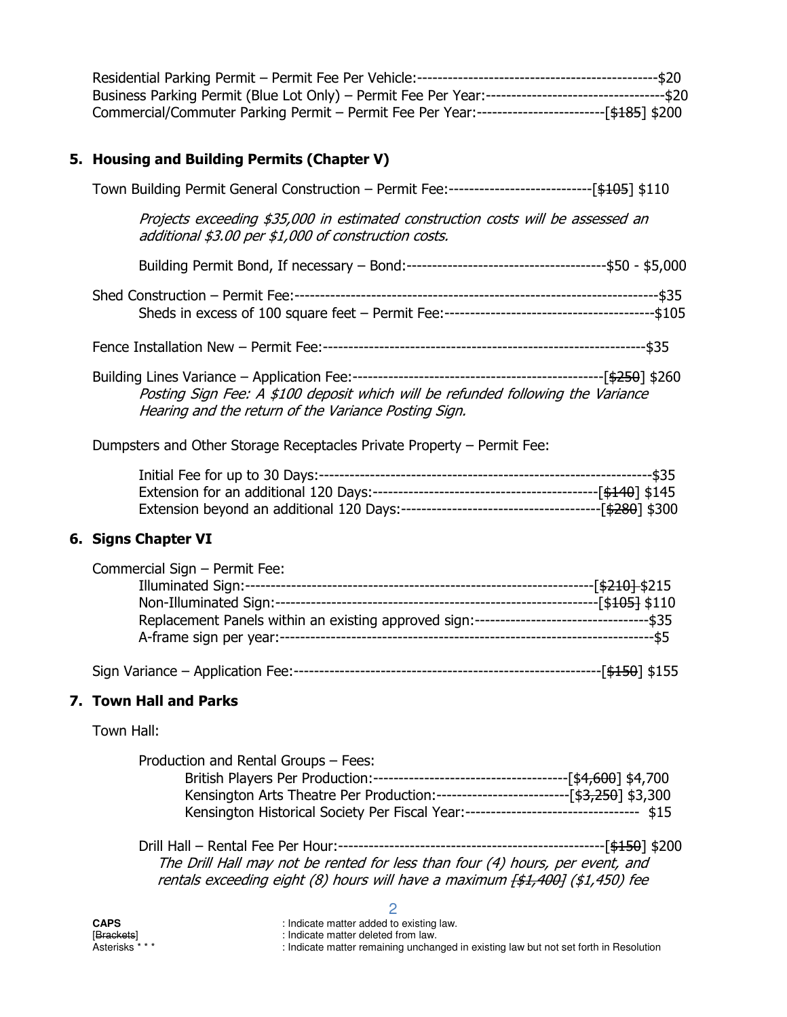| Business Parking Permit (Blue Lot Only) – Permit Fee Per Year:-----------------------------------\$20 |  |
|-------------------------------------------------------------------------------------------------------|--|
|                                                                                                       |  |
| Commercial/Commuter Parking Permit - Permit Fee Per Year:-------------------------[\$185] \$200       |  |

#### 5. Housing and Building Permits (Chapter V)

| Town Building Permit General Construction - Permit Fee:--------------------------------[\$105] \$110                                    |
|-----------------------------------------------------------------------------------------------------------------------------------------|
| Projects exceeding \$35,000 in estimated construction costs will be assessed an<br>additional \$3.00 per \$1,000 of construction costs. |
|                                                                                                                                         |
|                                                                                                                                         |
| -\$35                                                                                                                                   |
| Posting Sign Fee: A \$100 deposit which will be refunded following the Variance<br>Hearing and the return of the Variance Posting Sign. |
| Dumpsters and Other Storage Receptacles Private Property – Permit Fee:                                                                  |

### 6. Signs Chapter VI

| Commercial Sign - Permit Fee:                                                              |                             |
|--------------------------------------------------------------------------------------------|-----------------------------|
|                                                                                            | -[ <del>\$210] </del> \$215 |
| Non-Illuminated Sign:----------------------------------                                    | --[\$ <del>105]</del> \$110 |
| Replacement Panels within an existing approved sign:----------------------------------\$35 |                             |
|                                                                                            | -----\$5                    |
| Sign Variance - Application Fee:--                                                         | [ <del>\$150</del> ] \$155  |

#### 7. Town Hall and Parks

Town Hall:

| Production and Rental Groups – Fees:                                                  |  |
|---------------------------------------------------------------------------------------|--|
|                                                                                       |  |
| Kensington Arts Theatre Per Production:----------------------------[\$3,250] \$3,300  |  |
| Kensington Historical Society Per Fiscal Year:---------------------------------- \$15 |  |

 Drill Hall – Rental Fee Per Hour:----------------------------------------------------[\$150] \$200 The Drill Hall may not be rented for less than four (4) hours, per event, and rentals exceeding eight (8) hours will have a maximum <del>[\$1,400]</del> (\$1,450) fee

| CAPS                    | : Indicate matter added to existing law.                                              |
|-------------------------|---------------------------------------------------------------------------------------|
| [ <del>Brackets</del> ] | : Indicate matter deleted from law.                                                   |
| Asterisks * * *         | : Indicate matter remaining unchanged in existing law but not set forth in Resolution |

2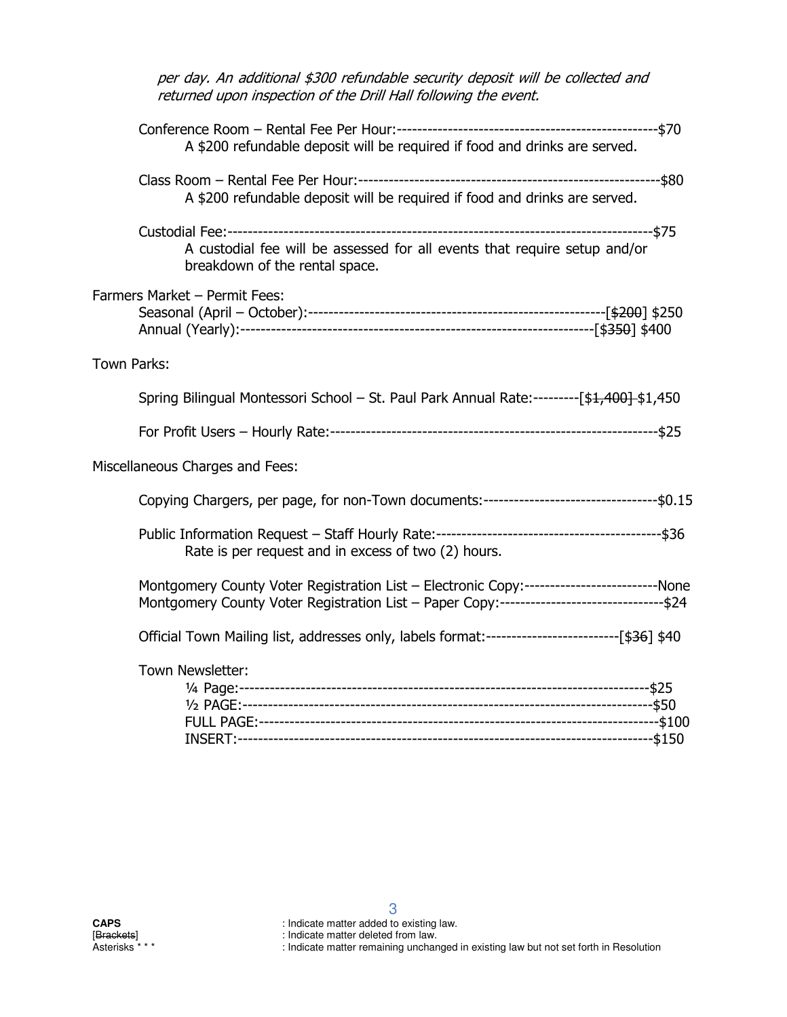| per day. An additional \$300 refundable security deposit will be collected and<br>returned upon inspection of the Drill Hall following the event.                                       |
|-----------------------------------------------------------------------------------------------------------------------------------------------------------------------------------------|
| A \$200 refundable deposit will be required if food and drinks are served.                                                                                                              |
| A \$200 refundable deposit will be required if food and drinks are served.                                                                                                              |
| A custodial fee will be assessed for all events that require setup and/or<br>breakdown of the rental space.                                                                             |
| Farmers Market - Permit Fees:                                                                                                                                                           |
| Town Parks:                                                                                                                                                                             |
| Spring Bilingual Montessori School - St. Paul Park Annual Rate:---------[\$1,400]-\$1,450                                                                                               |
|                                                                                                                                                                                         |
| Miscellaneous Charges and Fees:                                                                                                                                                         |
| Copying Chargers, per page, for non-Town documents:---------------------------------\$0.15                                                                                              |
| Rate is per request and in excess of two (2) hours.                                                                                                                                     |
| Montgomery County Voter Registration List - Electronic Copy:-------------------------None<br>Montgomery County Voter Registration List - Paper Copy:-------------------------------\$24 |
| Official Town Mailing list, addresses only, labels format:--------------------------[\$36] \$40                                                                                         |
| Town Newsletter:                                                                                                                                                                        |
|                                                                                                                                                                                         |

[Brackets] [Brackets] **indicate matter deleted from law**.

Asterisks \* \* \* \* \* \* \* : Indicate matter remaining unchanged in existing law but not set forth in Resolution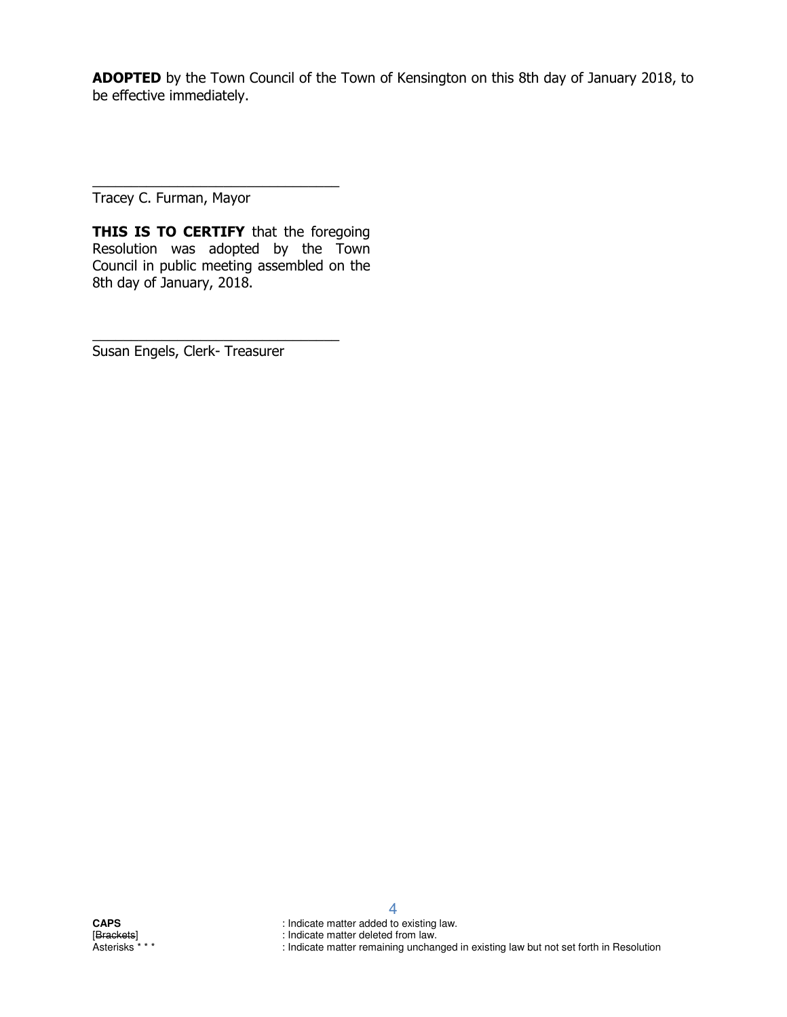ADOPTED by the Town Council of the Town of Kensington on this 8th day of January 2018, to be effective immediately.

Tracey C. Furman, Mayor

THIS IS TO CERTIFY that the foregoing Resolution was adopted by the Town Council in public meeting assembled on the 8th day of January, 2018.

\_\_\_\_\_\_\_\_\_\_\_\_\_\_\_\_\_\_\_\_\_\_\_\_\_\_\_\_\_\_\_\_

\_\_\_\_\_\_\_\_\_\_\_\_\_\_\_\_\_\_\_\_\_\_\_\_\_\_\_\_\_\_\_\_

Susan Engels, Clerk- Treasurer

**CAPS** : Indicate matter added to existing law.<br>
[Brackets] : Indicate matter deleted from law.<br>
Asterisks \*\*\* : Indicate matter remaining unchanged

4

: Indicate matter deleted from law.

: Indicate matter remaining unchanged in existing law but not set forth in Resolution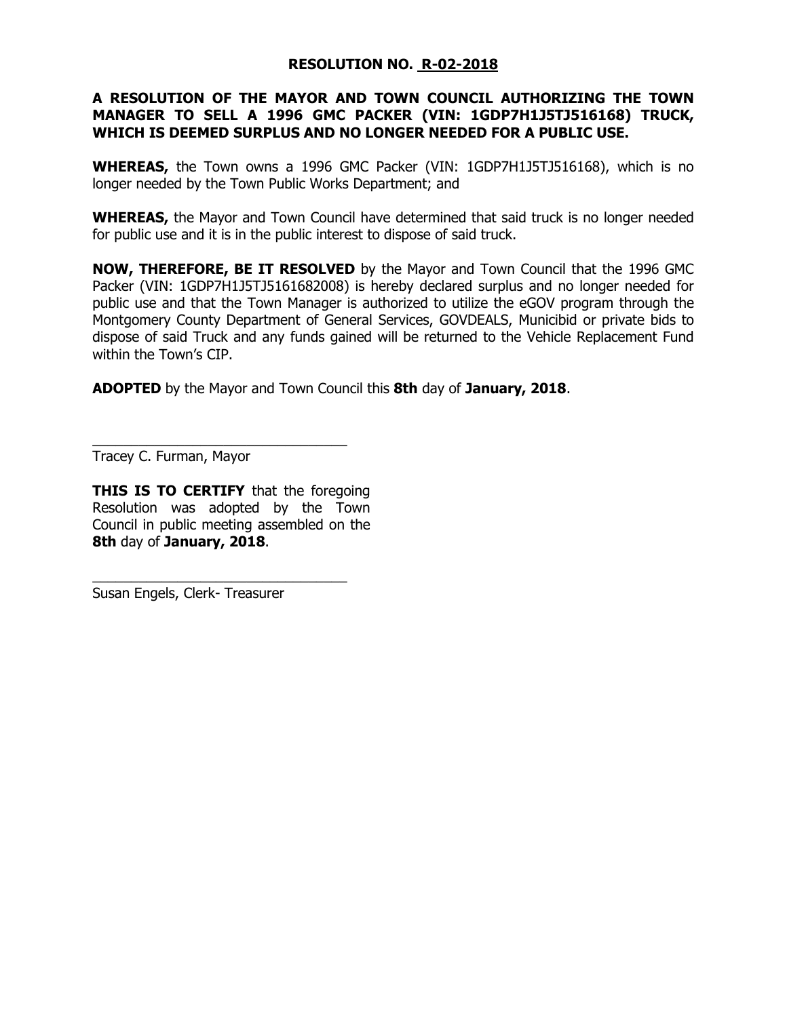#### RESOLUTION NO. R-02-2018

#### A RESOLUTION OF THE MAYOR AND TOWN COUNCIL AUTHORIZING THE TOWN MANAGER TO SELL A 1996 GMC PACKER (VIN: 1GDP7H1J5TJ516168) TRUCK, WHICH IS DEEMED SURPLUS AND NO LONGER NEEDED FOR A PUBLIC USE.

WHEREAS, the Town owns a 1996 GMC Packer (VIN: 1GDP7H1J5TJ516168), which is no longer needed by the Town Public Works Department; and

**WHEREAS,** the Mayor and Town Council have determined that said truck is no longer needed for public use and it is in the public interest to dispose of said truck.

NOW, THEREFORE, BE IT RESOLVED by the Mayor and Town Council that the 1996 GMC Packer (VIN: 1GDP7H1J5TJ5161682008) is hereby declared surplus and no longer needed for public use and that the Town Manager is authorized to utilize the eGOV program through the Montgomery County Department of General Services, GOVDEALS, Municibid or private bids to dispose of said Truck and any funds gained will be returned to the Vehicle Replacement Fund within the Town's CIP.

ADOPTED by the Mayor and Town Council this 8th day of January, 2018.

Tracey C. Furman, Mayor

**THIS IS TO CERTIFY** that the foregoing Resolution was adopted by the Town Council in public meeting assembled on the 8th day of January, 2018.

\_\_\_\_\_\_\_\_\_\_\_\_\_\_\_\_\_\_\_\_\_\_\_\_\_\_\_\_\_\_\_\_\_

\_\_\_\_\_\_\_\_\_\_\_\_\_\_\_\_\_\_\_\_\_\_\_\_\_\_\_\_\_\_\_\_\_

Susan Engels, Clerk- Treasurer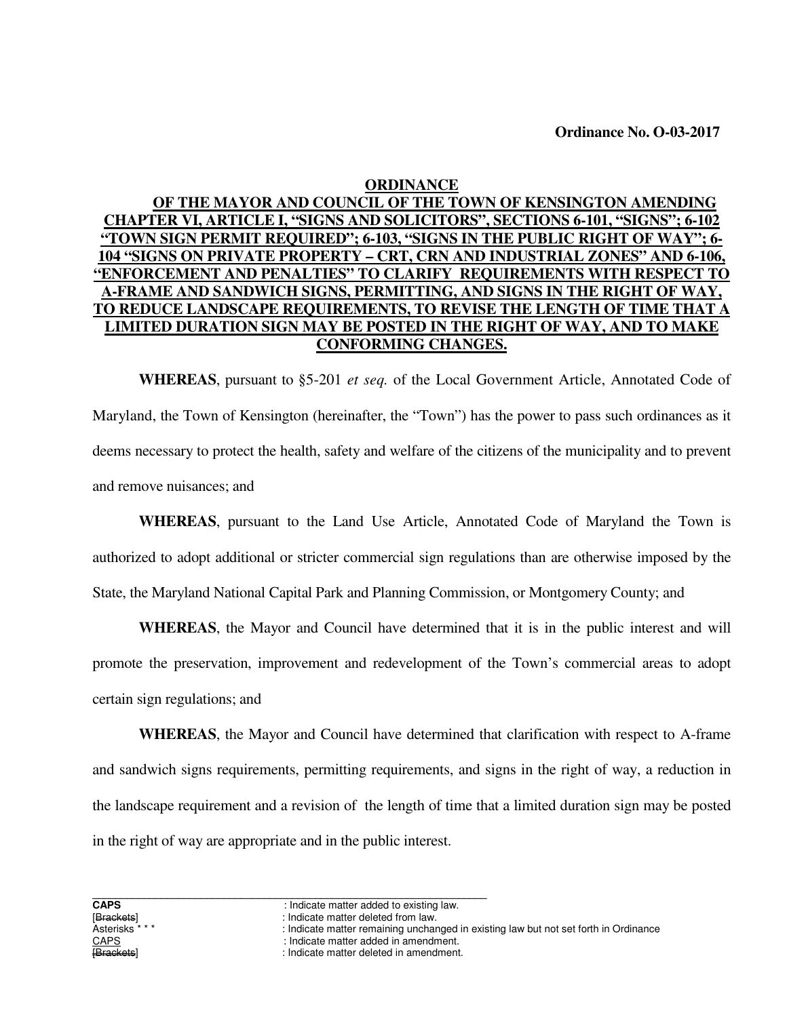#### **ORDINANCE**

#### **OF THE MAYOR AND COUNCIL OF THE TOWN OF KENSINGTON AMENDING CHAPTER VI, ARTICLE I, "SIGNS AND SOLICITORS", SECTIONS 6-101, "SIGNS"; 6-102 "TOWN SIGN PERMIT REQUIRED"; 6-103, "SIGNS IN THE PUBLIC RIGHT OF WAY"; 6- 104 "SIGNS ON PRIVATE PROPERTY – CRT, CRN AND INDUSTRIAL ZONES" AND 6-106, "ENFORCEMENT AND PENALTIES" TO CLARIFY REQUIREMENTS WITH RESPECT TO A-FRAME AND SANDWICH SIGNS, PERMITTING, AND SIGNS IN THE RIGHT OF WAY, TO REDUCE LANDSCAPE REQUIREMENTS, TO REVISE THE LENGTH OF TIME THAT A LIMITED DURATION SIGN MAY BE POSTED IN THE RIGHT OF WAY, AND TO MAKE CONFORMING CHANGES.**

 **WHEREAS**, pursuant to §5-201 *et seq.* of the Local Government Article, Annotated Code of Maryland, the Town of Kensington (hereinafter, the "Town") has the power to pass such ordinances as it deems necessary to protect the health, safety and welfare of the citizens of the municipality and to prevent and remove nuisances; and

**WHEREAS**, pursuant to the Land Use Article, Annotated Code of Maryland the Town is authorized to adopt additional or stricter commercial sign regulations than are otherwise imposed by the State, the Maryland National Capital Park and Planning Commission, or Montgomery County; and

 **WHEREAS**, the Mayor and Council have determined that it is in the public interest and will promote the preservation, improvement and redevelopment of the Town's commercial areas to adopt certain sign regulations; and

**WHEREAS**, the Mayor and Council have determined that clarification with respect to A-frame and sandwich signs requirements, permitting requirements, and signs in the right of way, a reduction in the landscape requirement and a revision of the length of time that a limited duration sign may be posted in the right of way are appropriate and in the public interest.

**CAPS** : Indicate matter added to existing law.<br> **IBrackets** : Indicate matter deleted from law.

<sup>[</sup>Brackets] indicate matter deleted from law.<br>Asterisks \* \* \* \* \* \* \* \* \* \* \* \* : Indicate matter remaining unchar

<sup>:</sup> Indicate matter remaining unchanged in existing law but not set forth in Ordinance

CAPS : Indicate matter added in amendment.

<sup>:</sup> Indicate matter deleted in amendment.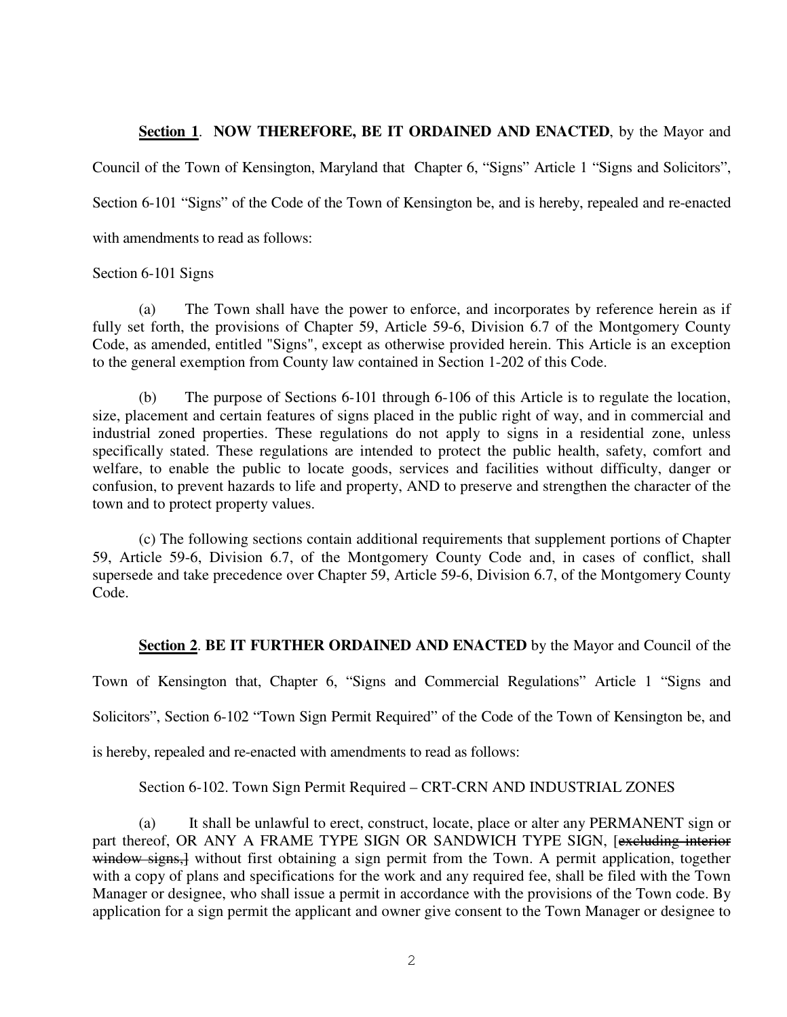#### **Section 1**. **NOW THEREFORE, BE IT ORDAINED AND ENACTED**, by the Mayor and

Council of the Town of Kensington, Maryland that Chapter 6, "Signs" Article 1 "Signs and Solicitors", Section 6-101 "Signs" of the Code of the Town of Kensington be, and is hereby, repealed and re-enacted with amendments to read as follows:

#### Section 6-101 Signs

 (a) The Town shall have the power to enforce, and incorporates by reference herein as if fully set forth, the provisions of Chapter 59, Article 59-6, Division 6.7 of the Montgomery County Code, as amended, entitled "Signs", except as otherwise provided herein. This Article is an exception to the general exemption from County law contained in Section 1-202 of this Code.

 (b) The purpose of Sections 6-101 through 6-106 of this Article is to regulate the location, size, placement and certain features of signs placed in the public right of way, and in commercial and industrial zoned properties. These regulations do not apply to signs in a residential zone, unless specifically stated. These regulations are intended to protect the public health, safety, comfort and welfare, to enable the public to locate goods, services and facilities without difficulty, danger or confusion, to prevent hazards to life and property, AND to preserve and strengthen the character of the town and to protect property values.

 (c) The following sections contain additional requirements that supplement portions of Chapter 59, Article 59-6, Division 6.7, of the Montgomery County Code and, in cases of conflict, shall supersede and take precedence over Chapter 59, Article 59-6, Division 6.7, of the Montgomery County Code.

#### **Section 2**. **BE IT FURTHER ORDAINED AND ENACTED** by the Mayor and Council of the

Town of Kensington that, Chapter 6, "Signs and Commercial Regulations" Article 1 "Signs and Solicitors", Section 6-102 "Town Sign Permit Required" of the Code of the Town of Kensington be, and is hereby, repealed and re-enacted with amendments to read as follows:

Section 6-102. Town Sign Permit Required – CRT-CRN AND INDUSTRIAL ZONES

 (a) It shall be unlawful to erect, construct, locate, place or alter any PERMANENT sign or part thereof, OR ANY A FRAME TYPE SIGN OR SANDWICH TYPE SIGN, [excluding interior window signs, without first obtaining a sign permit from the Town. A permit application, together with a copy of plans and specifications for the work and any required fee, shall be filed with the Town Manager or designee, who shall issue a permit in accordance with the provisions of the Town code. By application for a sign permit the applicant and owner give consent to the Town Manager or designee to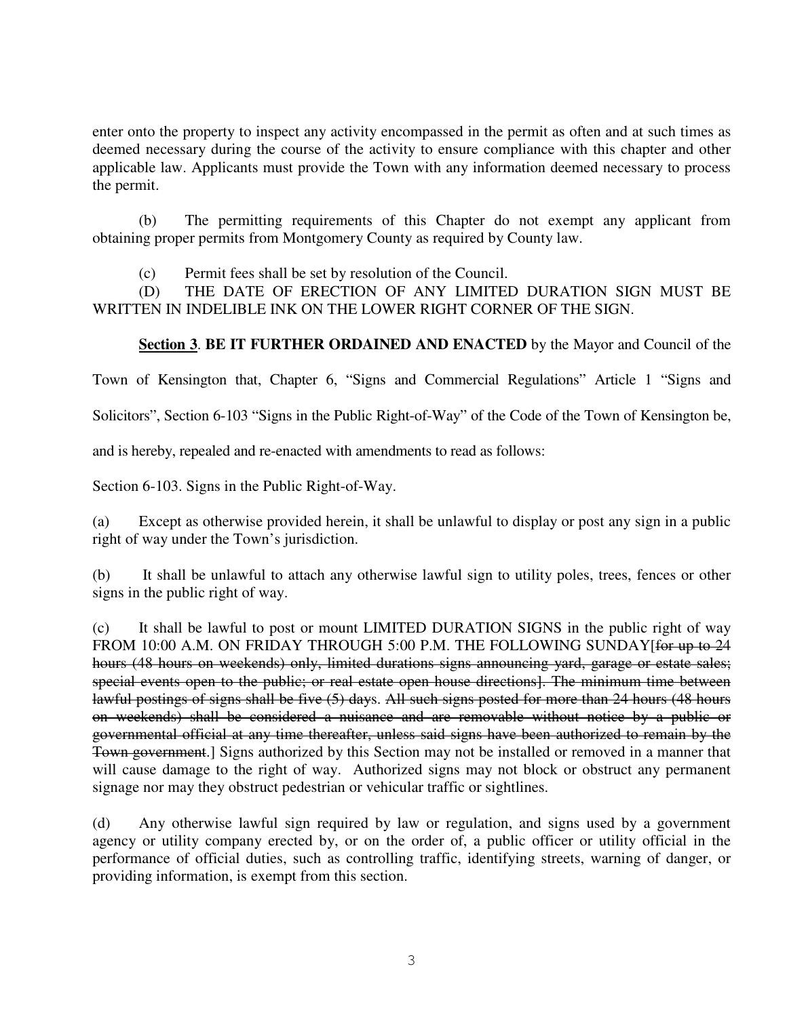enter onto the property to inspect any activity encompassed in the permit as often and at such times as deemed necessary during the course of the activity to ensure compliance with this chapter and other applicable law. Applicants must provide the Town with any information deemed necessary to process the permit.

 (b) The permitting requirements of this Chapter do not exempt any applicant from obtaining proper permits from Montgomery County as required by County law.

(c) Permit fees shall be set by resolution of the Council.

 (D) THE DATE OF ERECTION OF ANY LIMITED DURATION SIGN MUST BE WRITTEN IN INDELIBLE INK ON THE LOWER RIGHT CORNER OF THE SIGN.

#### **Section 3**. **BE IT FURTHER ORDAINED AND ENACTED** by the Mayor and Council of the

Town of Kensington that, Chapter 6, "Signs and Commercial Regulations" Article 1 "Signs and

Solicitors", Section 6-103 "Signs in the Public Right-of-Way" of the Code of the Town of Kensington be,

and is hereby, repealed and re-enacted with amendments to read as follows:

Section 6-103. Signs in the Public Right-of-Way.

(a) Except as otherwise provided herein, it shall be unlawful to display or post any sign in a public right of way under the Town's jurisdiction.

(b) It shall be unlawful to attach any otherwise lawful sign to utility poles, trees, fences or other signs in the public right of way.

(c) It shall be lawful to post or mount LIMITED DURATION SIGNS in the public right of way FROM 10:00 A.M. ON FRIDAY THROUGH 5:00 P.M. THE FOLLOWING SUNDAY [for up to 24 hours (48 hours on weekends) only, limited durations signs announcing yard, garage or estate sales; special events open to the public; or real estate open house directions]. The minimum time between lawful postings of signs shall be five (5) days. All such signs posted for more than 24 hours (48 hours on weekends) shall be considered a nuisance and are removable without notice by a public or governmental official at any time thereafter, unless said signs have been authorized to remain by the Town government.] Signs authorized by this Section may not be installed or removed in a manner that will cause damage to the right of way. Authorized signs may not block or obstruct any permanent signage nor may they obstruct pedestrian or vehicular traffic or sightlines.

(d) Any otherwise lawful sign required by law or regulation, and signs used by a government agency or utility company erected by, or on the order of, a public officer or utility official in the performance of official duties, such as controlling traffic, identifying streets, warning of danger, or providing information, is exempt from this section.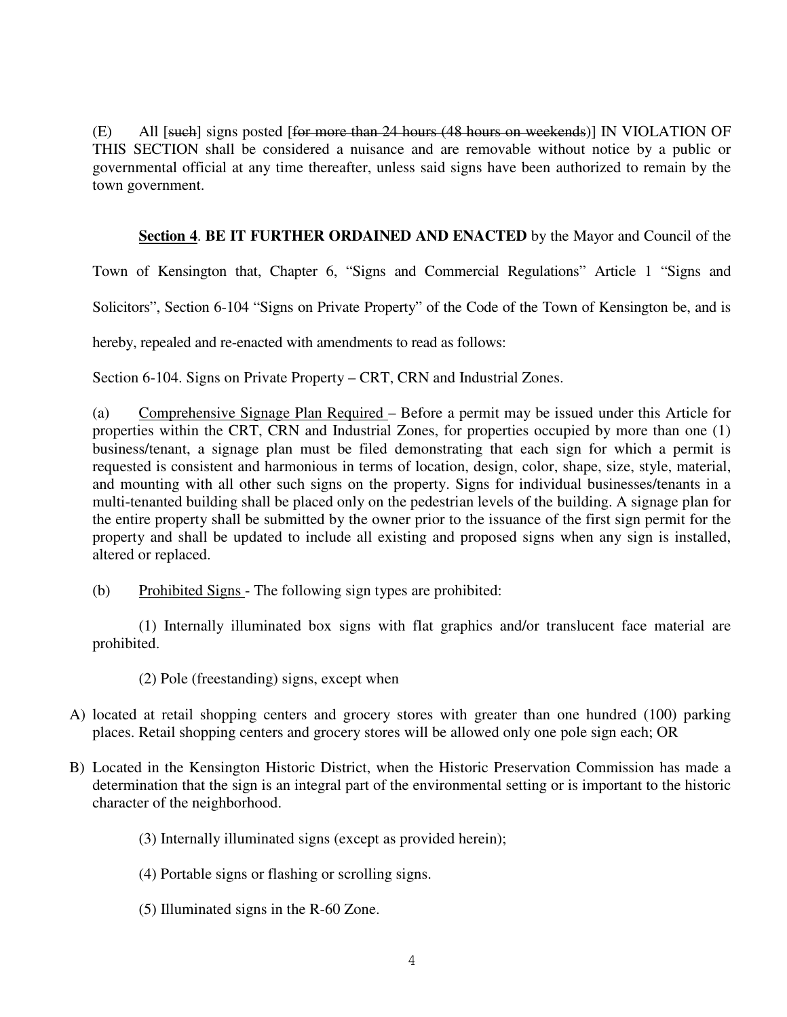(E) All [such] signs posted [for more than 24 hours (48 hours on weekends)] IN VIOLATION OF THIS SECTION shall be considered a nuisance and are removable without notice by a public or governmental official at any time thereafter, unless said signs have been authorized to remain by the town government.

#### **Section 4**. **BE IT FURTHER ORDAINED AND ENACTED** by the Mayor and Council of the

Town of Kensington that, Chapter 6, "Signs and Commercial Regulations" Article 1 "Signs and

Solicitors", Section 6-104 "Signs on Private Property" of the Code of the Town of Kensington be, and is

hereby, repealed and re-enacted with amendments to read as follows:

Section 6-104. Signs on Private Property – CRT, CRN and Industrial Zones.

(a) Comprehensive Signage Plan Required – Before a permit may be issued under this Article for properties within the CRT, CRN and Industrial Zones, for properties occupied by more than one (1) business/tenant, a signage plan must be filed demonstrating that each sign for which a permit is requested is consistent and harmonious in terms of location, design, color, shape, size, style, material, and mounting with all other such signs on the property. Signs for individual businesses/tenants in a multi-tenanted building shall be placed only on the pedestrian levels of the building. A signage plan for the entire property shall be submitted by the owner prior to the issuance of the first sign permit for the property and shall be updated to include all existing and proposed signs when any sign is installed, altered or replaced.

(b) Prohibited Signs - The following sign types are prohibited:

(1) Internally illuminated box signs with flat graphics and/or translucent face material are prohibited.

(2) Pole (freestanding) signs, except when

- A) located at retail shopping centers and grocery stores with greater than one hundred (100) parking places. Retail shopping centers and grocery stores will be allowed only one pole sign each; OR
- B) Located in the Kensington Historic District, when the Historic Preservation Commission has made a determination that the sign is an integral part of the environmental setting or is important to the historic character of the neighborhood.
	- (3) Internally illuminated signs (except as provided herein);
	- (4) Portable signs or flashing or scrolling signs.
	- (5) Illuminated signs in the R-60 Zone.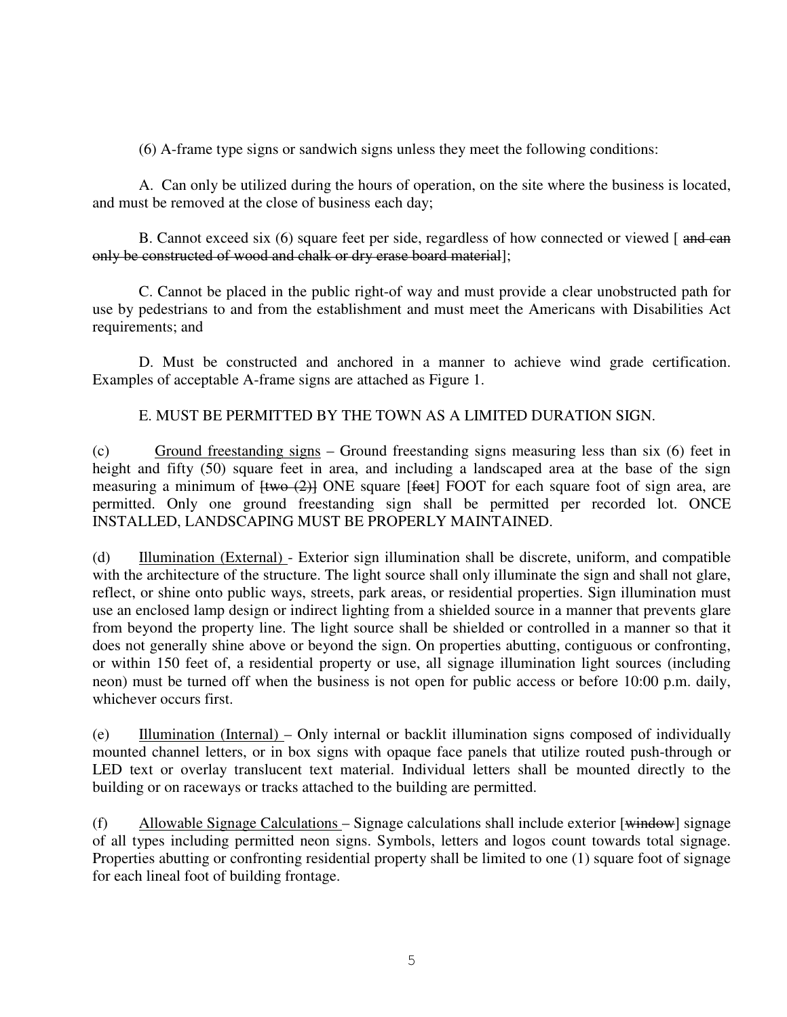(6) A-frame type signs or sandwich signs unless they meet the following conditions:

A. Can only be utilized during the hours of operation, on the site where the business is located, and must be removed at the close of business each day;

B. Cannot exceed six (6) square feet per side, regardless of how connected or viewed [ and can only be constructed of wood and chalk or dry erase board material];

C. Cannot be placed in the public right-of way and must provide a clear unobstructed path for use by pedestrians to and from the establishment and must meet the Americans with Disabilities Act requirements; and

D. Must be constructed and anchored in a manner to achieve wind grade certification. Examples of acceptable A-frame signs are attached as Figure 1.

#### E. MUST BE PERMITTED BY THE TOWN AS A LIMITED DURATION SIGN.

(c) Ground freestanding signs – Ground freestanding signs measuring less than six (6) feet in height and fifty (50) square feet in area, and including a landscaped area at the base of the sign measuring a minimum of  $f_{\text{two}}(2)$  ONE square [feet] FOOT for each square foot of sign area, are permitted. Only one ground freestanding sign shall be permitted per recorded lot. ONCE INSTALLED, LANDSCAPING MUST BE PROPERLY MAINTAINED.

 (d) Illumination (External) - Exterior sign illumination shall be discrete, uniform, and compatible with the architecture of the structure. The light source shall only illuminate the sign and shall not glare, reflect, or shine onto public ways, streets, park areas, or residential properties. Sign illumination must use an enclosed lamp design or indirect lighting from a shielded source in a manner that prevents glare from beyond the property line. The light source shall be shielded or controlled in a manner so that it does not generally shine above or beyond the sign. On properties abutting, contiguous or confronting, or within 150 feet of, a residential property or use, all signage illumination light sources (including neon) must be turned off when the business is not open for public access or before 10:00 p.m. daily, whichever occurs first.

 (e) Illumination (Internal) – Only internal or backlit illumination signs composed of individually mounted channel letters, or in box signs with opaque face panels that utilize routed push-through or LED text or overlay translucent text material. Individual letters shall be mounted directly to the building or on raceways or tracks attached to the building are permitted.

(f) Allowable Signage Calculations – Signage calculations shall include exterior  $[\text{window}]$  signage of all types including permitted neon signs. Symbols, letters and logos count towards total signage. Properties abutting or confronting residential property shall be limited to one (1) square foot of signage for each lineal foot of building frontage.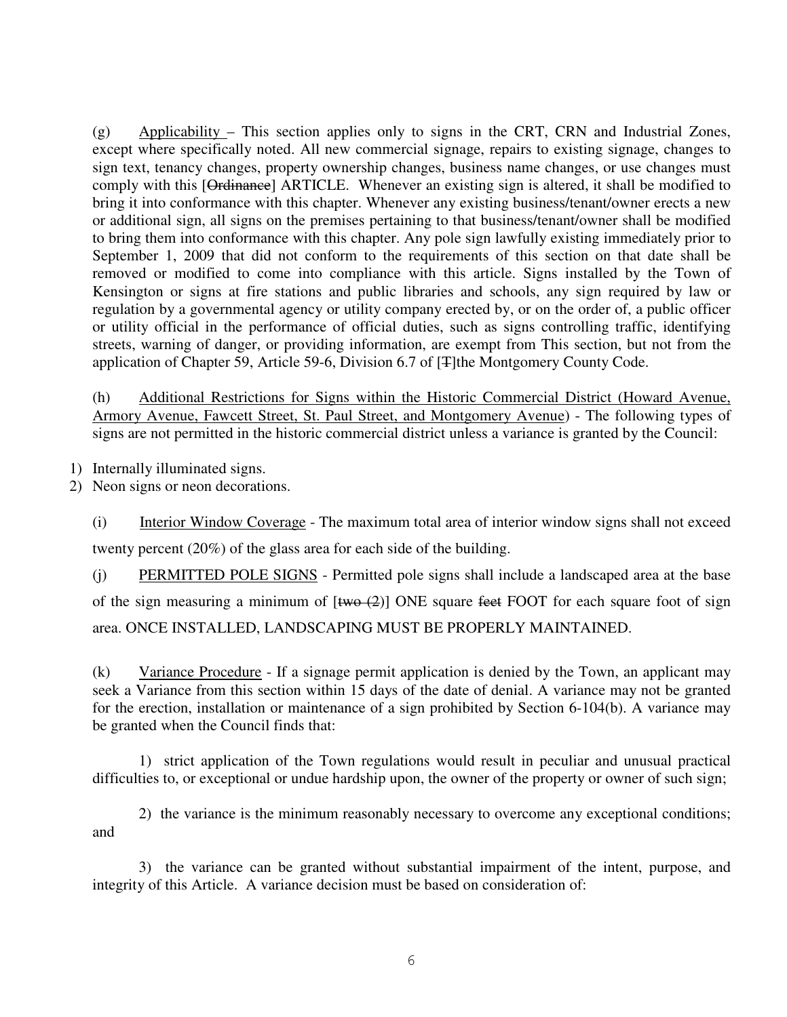(g) Applicability – This section applies only to signs in the CRT, CRN and Industrial Zones, except where specifically noted. All new commercial signage, repairs to existing signage, changes to sign text, tenancy changes, property ownership changes, business name changes, or use changes must comply with this [Ordinance] ARTICLE. Whenever an existing sign is altered, it shall be modified to bring it into conformance with this chapter. Whenever any existing business/tenant/owner erects a new or additional sign, all signs on the premises pertaining to that business/tenant/owner shall be modified to bring them into conformance with this chapter. Any pole sign lawfully existing immediately prior to September 1, 2009 that did not conform to the requirements of this section on that date shall be removed or modified to come into compliance with this article. Signs installed by the Town of Kensington or signs at fire stations and public libraries and schools, any sign required by law or regulation by a governmental agency or utility company erected by, or on the order of, a public officer or utility official in the performance of official duties, such as signs controlling traffic, identifying streets, warning of danger, or providing information, are exempt from This section, but not from the application of Chapter 59, Article 59-6, Division 6.7 of [T]the Montgomery County Code.

 (h) Additional Restrictions for Signs within the Historic Commercial District (Howard Avenue, Armory Avenue, Fawcett Street, St. Paul Street, and Montgomery Avenue) - The following types of signs are not permitted in the historic commercial district unless a variance is granted by the Council:

1) Internally illuminated signs.

2) Neon signs or neon decorations.

(i) Interior Window Coverage - The maximum total area of interior window signs shall not exceed twenty percent (20%) of the glass area for each side of the building.

(j) PERMITTED POLE SIGNS - Permitted pole signs shall include a landscaped area at the base of the sign measuring a minimum of  $[\text{two (2)}]$  ONE square feet FOOT for each square foot of sign area. ONCE INSTALLED, LANDSCAPING MUST BE PROPERLY MAINTAINED.

(k) Variance Procedure - If a signage permit application is denied by the Town, an applicant may seek a Variance from this section within 15 days of the date of denial. A variance may not be granted for the erection, installation or maintenance of a sign prohibited by Section 6-104(b). A variance may be granted when the Council finds that:

1) strict application of the Town regulations would result in peculiar and unusual practical difficulties to, or exceptional or undue hardship upon, the owner of the property or owner of such sign;

2) the variance is the minimum reasonably necessary to overcome any exceptional conditions; and

3) the variance can be granted without substantial impairment of the intent, purpose, and integrity of this Article. A variance decision must be based on consideration of: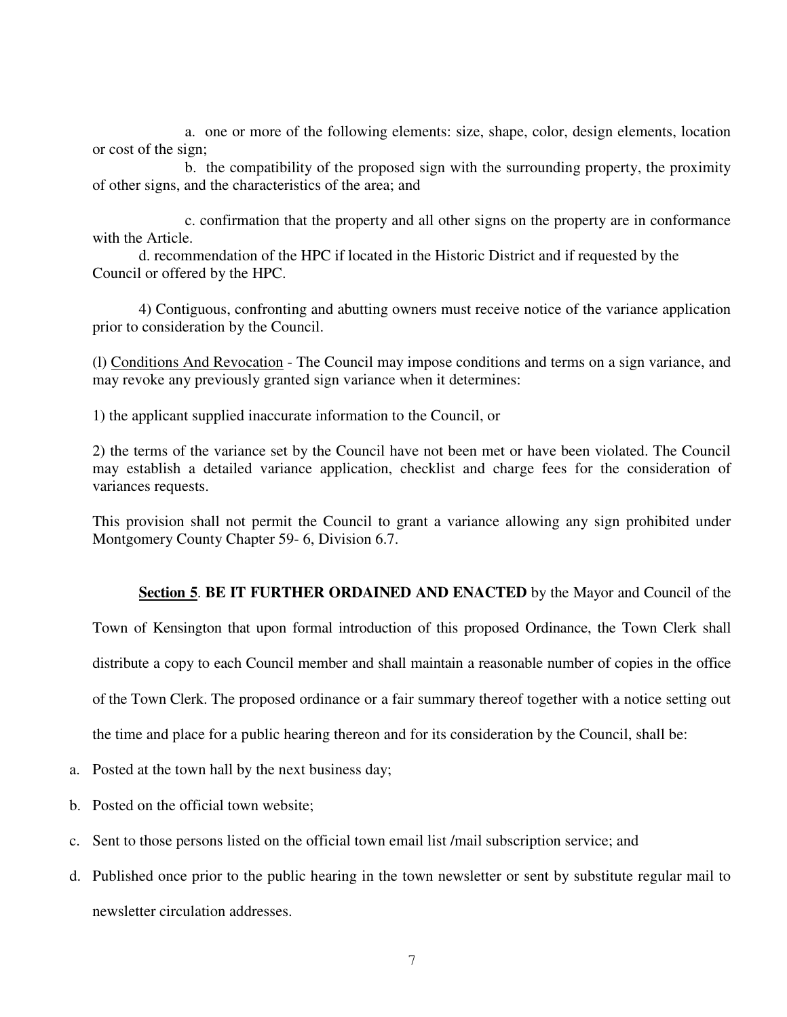a. one or more of the following elements: size, shape, color, design elements, location or cost of the sign;

 b. the compatibility of the proposed sign with the surrounding property, the proximity of other signs, and the characteristics of the area; and

 c. confirmation that the property and all other signs on the property are in conformance with the Article.

d. recommendation of the HPC if located in the Historic District and if requested by the Council or offered by the HPC.

4) Contiguous, confronting and abutting owners must receive notice of the variance application prior to consideration by the Council.

(l) Conditions And Revocation - The Council may impose conditions and terms on a sign variance, and may revoke any previously granted sign variance when it determines:

1) the applicant supplied inaccurate information to the Council, or

2) the terms of the variance set by the Council have not been met or have been violated. The Council may establish a detailed variance application, checklist and charge fees for the consideration of variances requests.

This provision shall not permit the Council to grant a variance allowing any sign prohibited under Montgomery County Chapter 59- 6, Division 6.7.

#### **Section 5**. **BE IT FURTHER ORDAINED AND ENACTED** by the Mayor and Council of the

Town of Kensington that upon formal introduction of this proposed Ordinance, the Town Clerk shall

distribute a copy to each Council member and shall maintain a reasonable number of copies in the office

of the Town Clerk. The proposed ordinance or a fair summary thereof together with a notice setting out

the time and place for a public hearing thereon and for its consideration by the Council, shall be:

a. Posted at the town hall by the next business day;

b. Posted on the official town website;

- c. Sent to those persons listed on the official town email list /mail subscription service; and
- d. Published once prior to the public hearing in the town newsletter or sent by substitute regular mail to newsletter circulation addresses.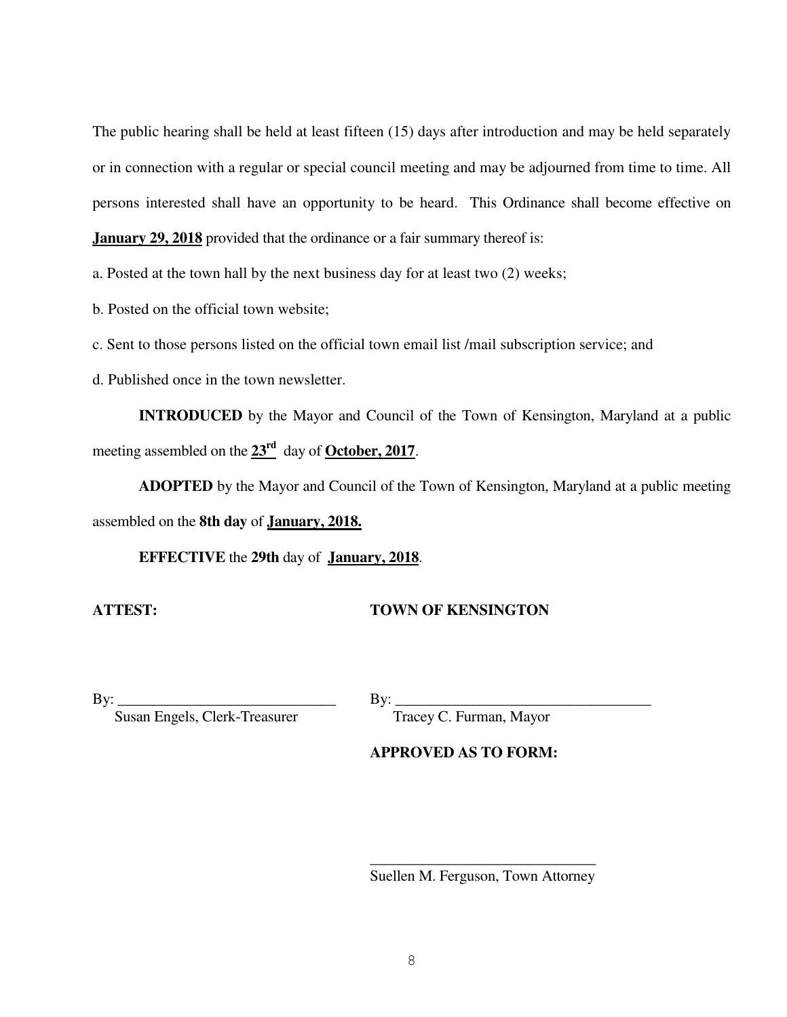The public hearing shall be held at least fifteen (15) days after introduction and may be held separately or in connection with a regular or special council meeting and may be adjourned from time to time. All persons interested shall have an opportunity to be heard. This Ordinance shall become effective on **January 29, 2018** provided that the ordinance or a fair summary thereof is:

a. Posted at the town hall by the next business day for at least two (2) weeks;

b. Posted on the official town website;

c. Sent to those persons listed on the official town email list /mail subscription service; and

d. Published once in the town newsletter.

**INTRODUCED** by the Mayor and Council of the Town of Kensington, Maryland at a public meeting assembled on the **23rd** day of **October, 2017**.

 **ADOPTED** by the Mayor and Council of the Town of Kensington, Maryland at a public meeting assembled on the **8th day** of **January, 2018.**

 **EFFECTIVE** the **29th** day of **January, 2018**.

#### **ATTEST: TOWN OF KENSINGTON**

 $\text{By:}\_$ 

 $\frac{1}{\sqrt{2}}$  ,  $\frac{1}{\sqrt{2}}$  ,  $\frac{1}{\sqrt{2}}$  ,  $\frac{1}{\sqrt{2}}$  ,  $\frac{1}{\sqrt{2}}$  ,  $\frac{1}{\sqrt{2}}$  ,  $\frac{1}{\sqrt{2}}$  ,  $\frac{1}{\sqrt{2}}$  ,  $\frac{1}{\sqrt{2}}$  ,  $\frac{1}{\sqrt{2}}$  ,  $\frac{1}{\sqrt{2}}$  ,  $\frac{1}{\sqrt{2}}$  ,  $\frac{1}{\sqrt{2}}$  ,  $\frac{1}{\sqrt{2}}$  ,  $\frac{1}{\sqrt{2}}$ 

Susan Engels, Clerk-Treasurer Tracey C. Furman, Mayor

#### **APPROVED AS TO FORM:**

Suellen M. Ferguson, Town Attorney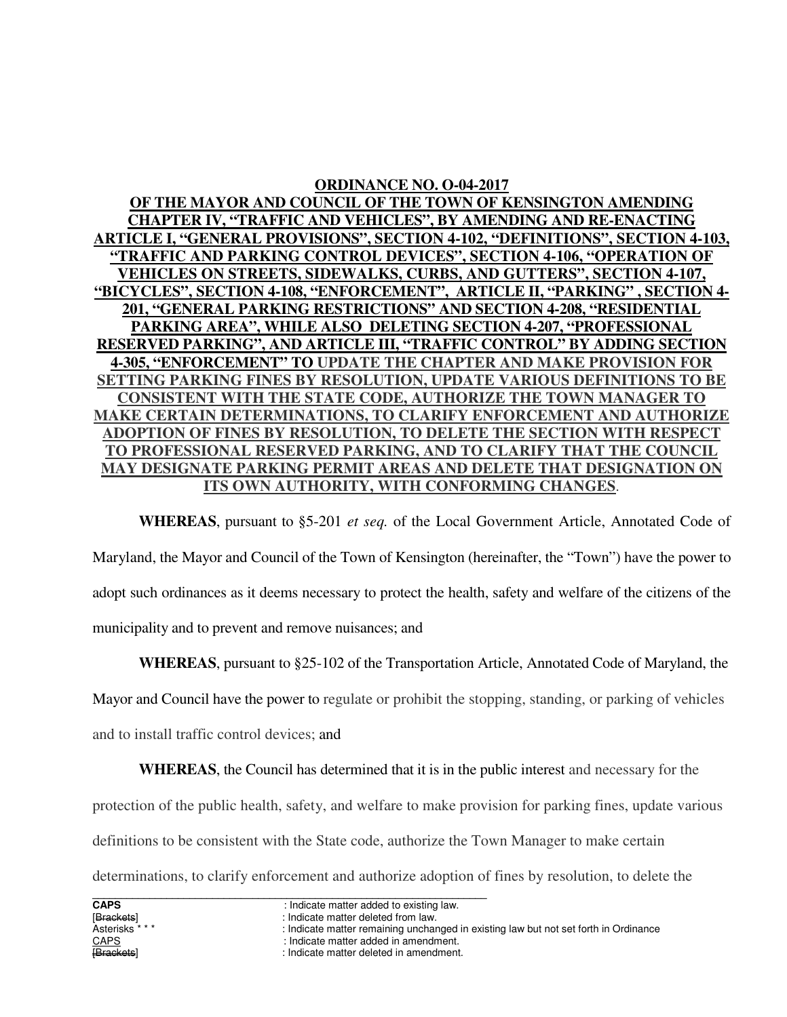#### **ORDINANCE NO. O-04-2017**

**OF THE MAYOR AND COUNCIL OF THE TOWN OF KENSINGTON AMENDING CHAPTER IV, "TRAFFIC AND VEHICLES", BY AMENDING AND RE-ENACTING ARTICLE I, "GENERAL PROVISIONS", SECTION 4-102, "DEFINITIONS", SECTION 4-103, "TRAFFIC AND PARKING CONTROL DEVICES", SECTION 4-106, "OPERATION OF VEHICLES ON STREETS, SIDEWALKS, CURBS, AND GUTTERS", SECTION 4-107, "BICYCLES", SECTION 4-108, "ENFORCEMENT", ARTICLE II, "PARKING" , SECTION 4- 201, "GENERAL PARKING RESTRICTIONS" AND SECTION 4-208, "RESIDENTIAL PARKING AREA", WHILE ALSO DELETING SECTION 4-207, "PROFESSIONAL RESERVED PARKING", AND ARTICLE III, "TRAFFIC CONTROL" BY ADDING SECTION 4-305, "ENFORCEMENT" TO UPDATE THE CHAPTER AND MAKE PROVISION FOR SETTING PARKING FINES BY RESOLUTION, UPDATE VARIOUS DEFINITIONS TO BE CONSISTENT WITH THE STATE CODE, AUTHORIZE THE TOWN MANAGER TO MAKE CERTAIN DETERMINATIONS, TO CLARIFY ENFORCEMENT AND AUTHORIZE ADOPTION OF FINES BY RESOLUTION, TO DELETE THE SECTION WITH RESPECT TO PROFESSIONAL RESERVED PARKING, AND TO CLARIFY THAT THE COUNCIL MAY DESIGNATE PARKING PERMIT AREAS AND DELETE THAT DESIGNATION ON ITS OWN AUTHORITY, WITH CONFORMING CHANGES**.

 **WHEREAS**, pursuant to §5-201 *et seq.* of the Local Government Article, Annotated Code of Maryland, the Mayor and Council of the Town of Kensington (hereinafter, the "Town") have the power to adopt such ordinances as it deems necessary to protect the health, safety and welfare of the citizens of the municipality and to prevent and remove nuisances; and

**WHEREAS**, pursuant to §25-102 of the Transportation Article, Annotated Code of Maryland, the

Mayor and Council have the power to regulate or prohibit the stopping, standing, or parking of vehicles

and to install traffic control devices; and

 **WHEREAS**, the Council has determined that it is in the public interest and necessary for the

protection of the public health, safety, and welfare to make provision for parking fines, update various

definitions to be consistent with the State code, authorize the Town Manager to make certain

determinations, to clarify enforcement and authorize adoption of fines by resolution, to delete the

[Brackets] indicate matter deleted from law.<br>
Asterisks \*\*\* The state of the contract of the lindicate matter remaining unchare : Indicate matter remaining unchanged in existing law but not set forth in Ordinance

- CAPS<br>
CAPS : Indicate matter added in amendment.<br>
indicate matter deleted in amendment:<br>
indicate matter deleted in amendment:
	- : Indicate matter deleted in amendment.

**CAPS** : Indicate matter added to existing law.<br> **IBrackets** : Indicate matter deleted from law.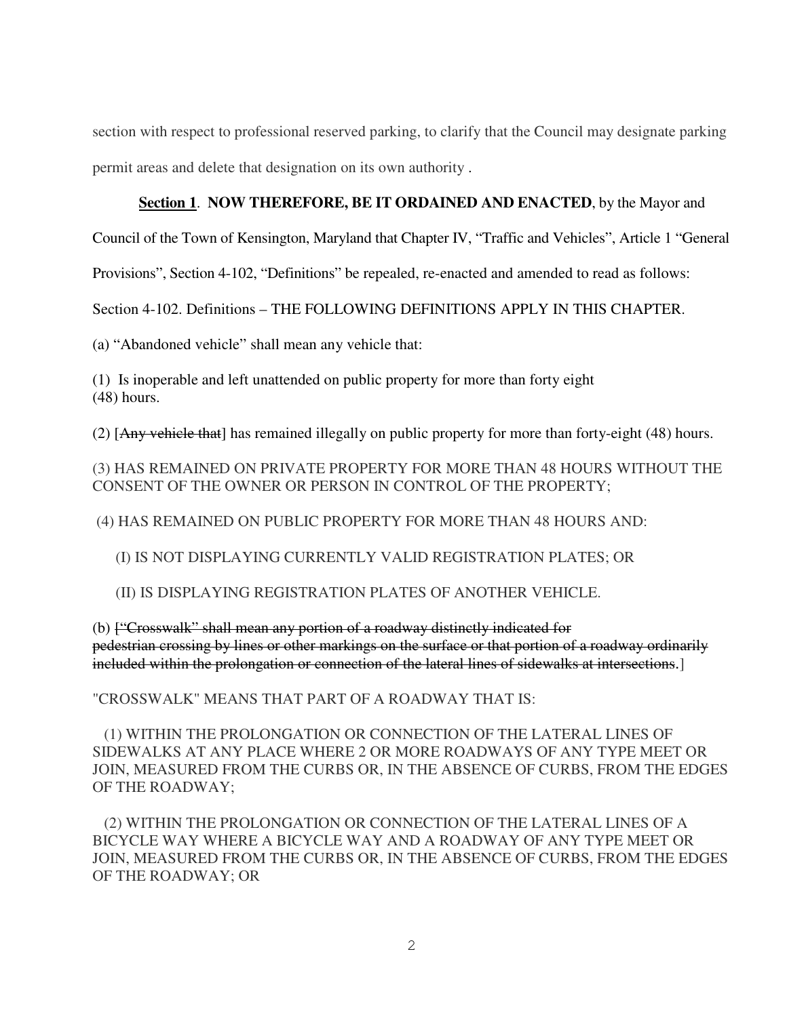section with respect to professional reserved parking, to clarify that the Council may designate parking permit areas and delete that designation on its own authority .

#### **Section 1**. **NOW THEREFORE, BE IT ORDAINED AND ENACTED**, by the Mayor and

Council of the Town of Kensington, Maryland that Chapter IV, "Traffic and Vehicles", Article 1 "General

Provisions", Section 4-102, "Definitions" be repealed, re-enacted and amended to read as follows:

Section 4-102. Definitions – THE FOLLOWING DEFINITIONS APPLY IN THIS CHAPTER.

(a) "Abandoned vehicle" shall mean any vehicle that:

(1) Is inoperable and left unattended on public property for more than forty eight (48) hours.

(2) [Any vehicle that] has remained illegally on public property for more than forty-eight (48) hours.

(3) HAS REMAINED ON PRIVATE PROPERTY FOR MORE THAN 48 HOURS WITHOUT THE CONSENT OF THE OWNER OR PERSON IN CONTROL OF THE PROPERTY;

(4) HAS REMAINED ON PUBLIC PROPERTY FOR MORE THAN 48 HOURS AND:

(I) IS NOT DISPLAYING CURRENTLY VALID REGISTRATION PLATES; OR

(II) IS DISPLAYING REGISTRATION PLATES OF ANOTHER VEHICLE.

(b) ["Crosswalk" shall mean any portion of a roadway distinctly indicated for pedestrian crossing by lines or other markings on the surface or that portion of a roadway ordinarily included within the prolongation or connection of the lateral lines of sidewalks at intersections.]

"CROSSWALK" MEANS THAT PART OF A ROADWAY THAT IS:

 (1) WITHIN THE PROLONGATION OR CONNECTION OF THE LATERAL LINES OF SIDEWALKS AT ANY PLACE WHERE 2 OR MORE ROADWAYS OF ANY TYPE MEET OR JOIN, MEASURED FROM THE CURBS OR, IN THE ABSENCE OF CURBS, FROM THE EDGES OF THE ROADWAY;

 (2) WITHIN THE PROLONGATION OR CONNECTION OF THE LATERAL LINES OF A BICYCLE WAY WHERE A BICYCLE WAY AND A ROADWAY OF ANY TYPE MEET OR JOIN, MEASURED FROM THE CURBS OR, IN THE ABSENCE OF CURBS, FROM THE EDGES OF THE ROADWAY; OR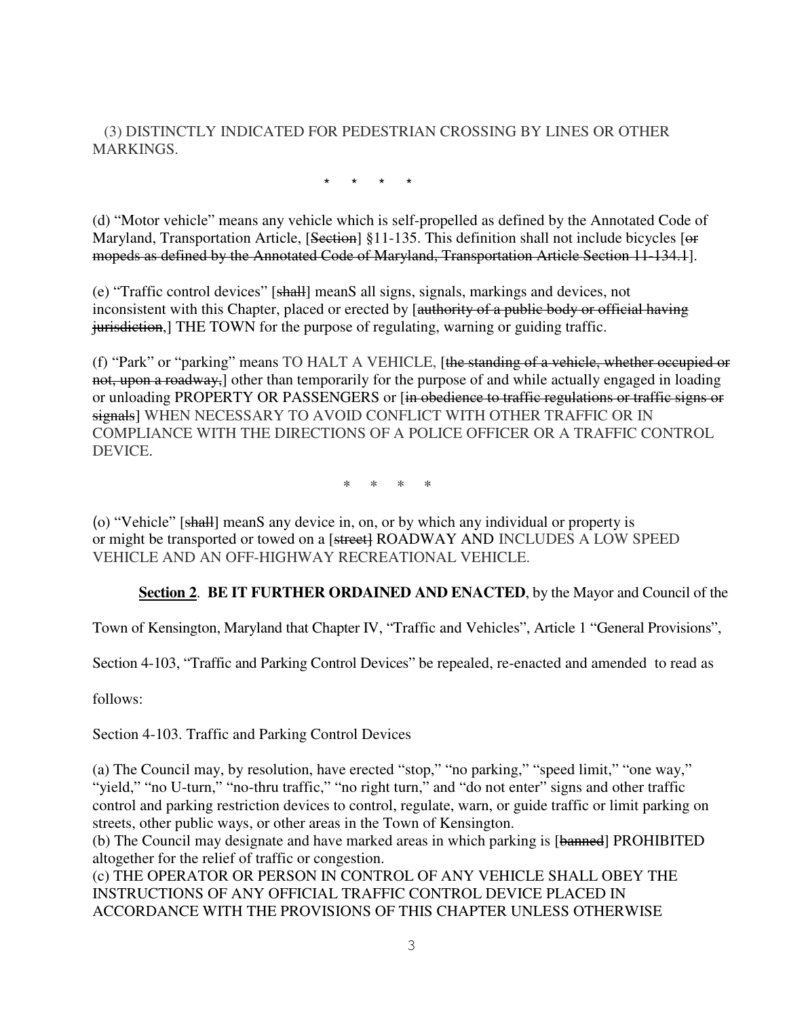(3) DISTINCTLY INDICATED FOR PEDESTRIAN CROSSING BY LINES OR OTHER **MARKINGS.** 

\* \* \* \*

(d) "Motor vehicle" means any vehicle which is self-propelled as defined by the Annotated Code of Maryland, Transportation Article, [Section] §11-135. This definition shall not include bicycles [or mopeds as defined by the Annotated Code of Maryland, Transportation Article Section 11-134.1].

(e) "Traffic control devices" [shall] meanS all signs, signals, markings and devices, not inconsistent with this Chapter, placed or erected by [authority of a public body or official having jurisdiction,] THE TOWN for the purpose of regulating, warning or guiding traffic.

(f) "Park" or "parking" means TO HALT A VEHICLE, [the standing of a vehicle, whether occupied or not, upon a roadway,] other than temporarily for the purpose of and while actually engaged in loading or unloading PROPERTY OR PASSENGERS or [in obedience to traffic regulations or traffic signs or signals] WHEN NECESSARY TO AVOID CONFLICT WITH OTHER TRAFFIC OR IN COMPLIANCE WITH THE DIRECTIONS OF A POLICE OFFICER OR A TRAFFIC CONTROL DEVICE.

\* \* \* \*

(o) "Vehicle" [shall] meanS any device in, on, or by which any individual or property is or might be transported or towed on a [street] ROADWAY AND INCLUDES A LOW SPEED VEHICLE AND AN OFF-HIGHWAY RECREATIONAL VEHICLE.

**Section 2**. **BE IT FURTHER ORDAINED AND ENACTED**, by the Mayor and Council of the

Town of Kensington, Maryland that Chapter IV, "Traffic and Vehicles", Article 1 "General Provisions",

Section 4-103, "Traffic and Parking Control Devices" be repealed, re-enacted and amended to read as

follows:

Section 4-103. Traffic and Parking Control Devices

(a) The Council may, by resolution, have erected "stop," "no parking," "speed limit," "one way," "yield," "no U-turn," "no-thru traffic," "no right turn," and "do not enter" signs and other traffic control and parking restriction devices to control, regulate, warn, or guide traffic or limit parking on streets, other public ways, or other areas in the Town of Kensington.

(b) The Council may designate and have marked areas in which parking is [banned] PROHIBITED altogether for the relief of traffic or congestion.

(c) THE OPERATOR OR PERSON IN CONTROL OF ANY VEHICLE SHALL OBEY THE INSTRUCTIONS OF ANY OFFICIAL TRAFFIC CONTROL DEVICE PLACED IN ACCORDANCE WITH THE PROVISIONS OF THIS CHAPTER UNLESS OTHERWISE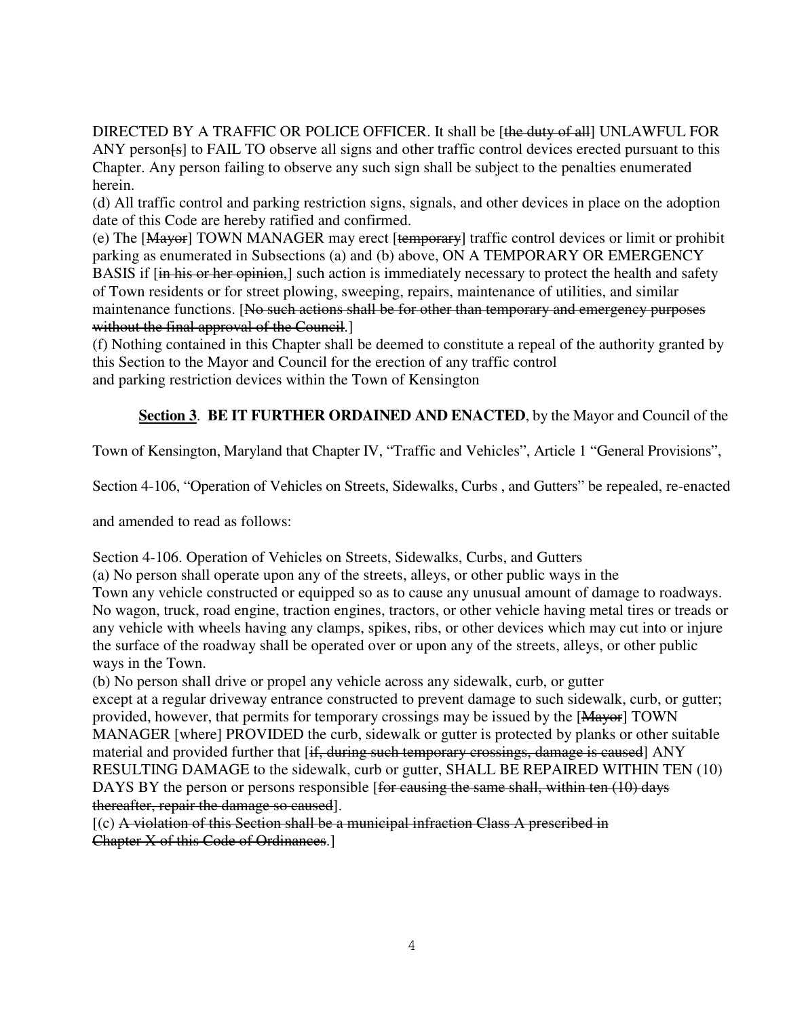DIRECTED BY A TRAFFIC OR POLICE OFFICER. It shall be [the duty of all] UNLAWFUL FOR ANY person<sup>[4]</sup> to FAIL TO observe all signs and other traffic control devices erected pursuant to this Chapter. Any person failing to observe any such sign shall be subject to the penalties enumerated herein.

(d) All traffic control and parking restriction signs, signals, and other devices in place on the adoption date of this Code are hereby ratified and confirmed.

(e) The [Mayor] TOWN MANAGER may erect [temporary] traffic control devices or limit or prohibit parking as enumerated in Subsections (a) and (b) above, ON A TEMPORARY OR EMERGENCY BASIS if [in his or her opinion,] such action is immediately necessary to protect the health and safety of Town residents or for street plowing, sweeping, repairs, maintenance of utilities, and similar maintenance functions. [No such actions shall be for other than temporary and emergency purposes without the final approval of the Council.

(f) Nothing contained in this Chapter shall be deemed to constitute a repeal of the authority granted by this Section to the Mayor and Council for the erection of any traffic control and parking restriction devices within the Town of Kensington

### **Section 3**. **BE IT FURTHER ORDAINED AND ENACTED**, by the Mayor and Council of the

Town of Kensington, Maryland that Chapter IV, "Traffic and Vehicles", Article 1 "General Provisions",

Section 4-106, "Operation of Vehicles on Streets, Sidewalks, Curbs , and Gutters" be repealed, re-enacted

and amended to read as follows:

Section 4-106. Operation of Vehicles on Streets, Sidewalks, Curbs, and Gutters

(a) No person shall operate upon any of the streets, alleys, or other public ways in the Town any vehicle constructed or equipped so as to cause any unusual amount of damage to roadways. No wagon, truck, road engine, traction engines, tractors, or other vehicle having metal tires or treads or any vehicle with wheels having any clamps, spikes, ribs, or other devices which may cut into or injure the surface of the roadway shall be operated over or upon any of the streets, alleys, or other public ways in the Town.

(b) No person shall drive or propel any vehicle across any sidewalk, curb, or gutter except at a regular driveway entrance constructed to prevent damage to such sidewalk, curb, or gutter; provided, however, that permits for temporary crossings may be issued by the [Mayor] TOWN MANAGER [where] PROVIDED the curb, sidewalk or gutter is protected by planks or other suitable material and provided further that [if, during such temporary crossings, damage is caused] ANY RESULTING DAMAGE to the sidewalk, curb or gutter, SHALL BE REPAIRED WITHIN TEN (10) DAYS BY the person or persons responsible [for causing the same shall, within ten (10) days thereafter, repair the damage so caused].

 $[(c)$  A violation of this Section shall be a municipal infraction Class A prescribed in Chapter X of this Code of Ordinances.]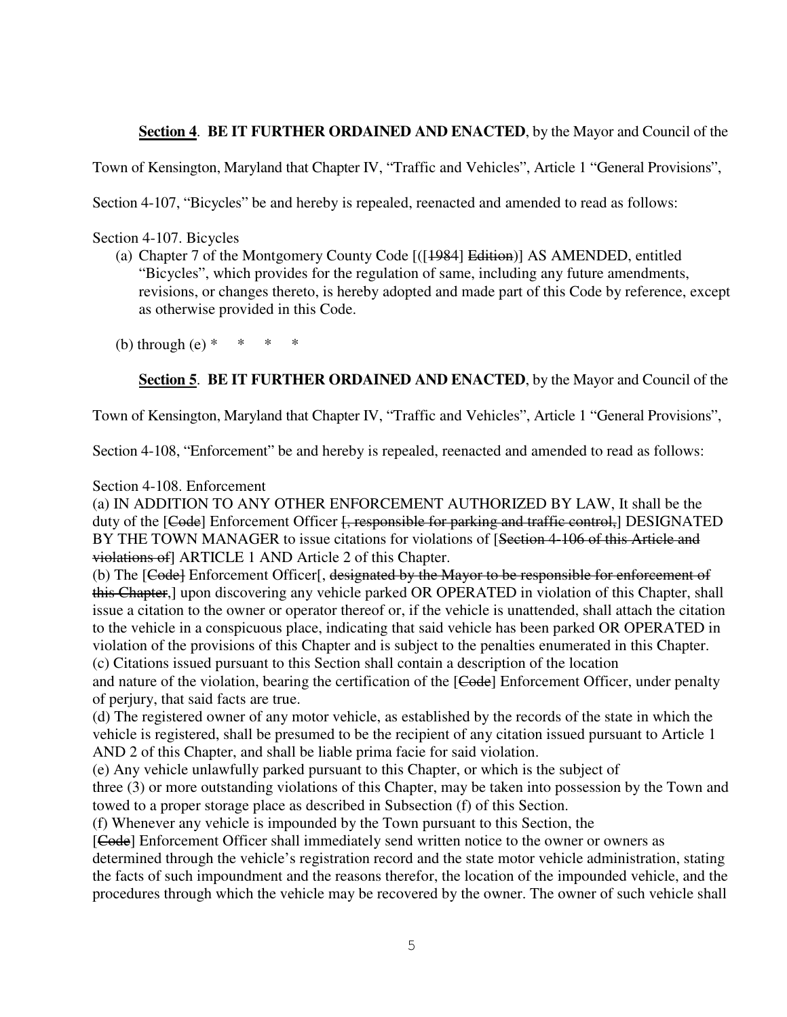#### **Section 4**. **BE IT FURTHER ORDAINED AND ENACTED**, by the Mayor and Council of the

Town of Kensington, Maryland that Chapter IV, "Traffic and Vehicles", Article 1 "General Provisions",

Section 4-107, "Bicycles" be and hereby is repealed, reenacted and amended to read as follows:

Section 4-107. Bicycles

(a) Chapter 7 of the Montgomery County Code [([1984] Edition)] AS AMENDED, entitled "Bicycles", which provides for the regulation of same, including any future amendments, revisions, or changes thereto, is hereby adopted and made part of this Code by reference, except as otherwise provided in this Code.

(b) through (e)  $*$ 

**Section 5**. **BE IT FURTHER ORDAINED AND ENACTED**, by the Mayor and Council of the

Town of Kensington, Maryland that Chapter IV, "Traffic and Vehicles", Article 1 "General Provisions",

Section 4-108, "Enforcement" be and hereby is repealed, reenacted and amended to read as follows:

#### Section 4-108. Enforcement

(a) IN ADDITION TO ANY OTHER ENFORCEMENT AUTHORIZED BY LAW, It shall be the duty of the [Code] Enforcement Officer [, responsible for parking and traffic control,] DESIGNATED BY THE TOWN MANAGER to issue citations for violations of [Section 4-106 of this Article and violations of] ARTICLE 1 AND Article 2 of this Chapter.

(b) The [Code] Enforcement Officer[, designated by the Mayor to be responsible for enforcement of this Chapter,] upon discovering any vehicle parked OR OPERATED in violation of this Chapter, shall issue a citation to the owner or operator thereof or, if the vehicle is unattended, shall attach the citation to the vehicle in a conspicuous place, indicating that said vehicle has been parked OR OPERATED in violation of the provisions of this Chapter and is subject to the penalties enumerated in this Chapter. (c) Citations issued pursuant to this Section shall contain a description of the location

and nature of the violation, bearing the certification of the [Code] Enforcement Officer, under penalty of perjury, that said facts are true.

(d) The registered owner of any motor vehicle, as established by the records of the state in which the vehicle is registered, shall be presumed to be the recipient of any citation issued pursuant to Article 1 AND 2 of this Chapter, and shall be liable prima facie for said violation.

(e) Any vehicle unlawfully parked pursuant to this Chapter, or which is the subject of

three (3) or more outstanding violations of this Chapter, may be taken into possession by the Town and towed to a proper storage place as described in Subsection (f) of this Section.

(f) Whenever any vehicle is impounded by the Town pursuant to this Section, the

[Code] Enforcement Officer shall immediately send written notice to the owner or owners as

determined through the vehicle's registration record and the state motor vehicle administration, stating the facts of such impoundment and the reasons therefor, the location of the impounded vehicle, and the procedures through which the vehicle may be recovered by the owner. The owner of such vehicle shall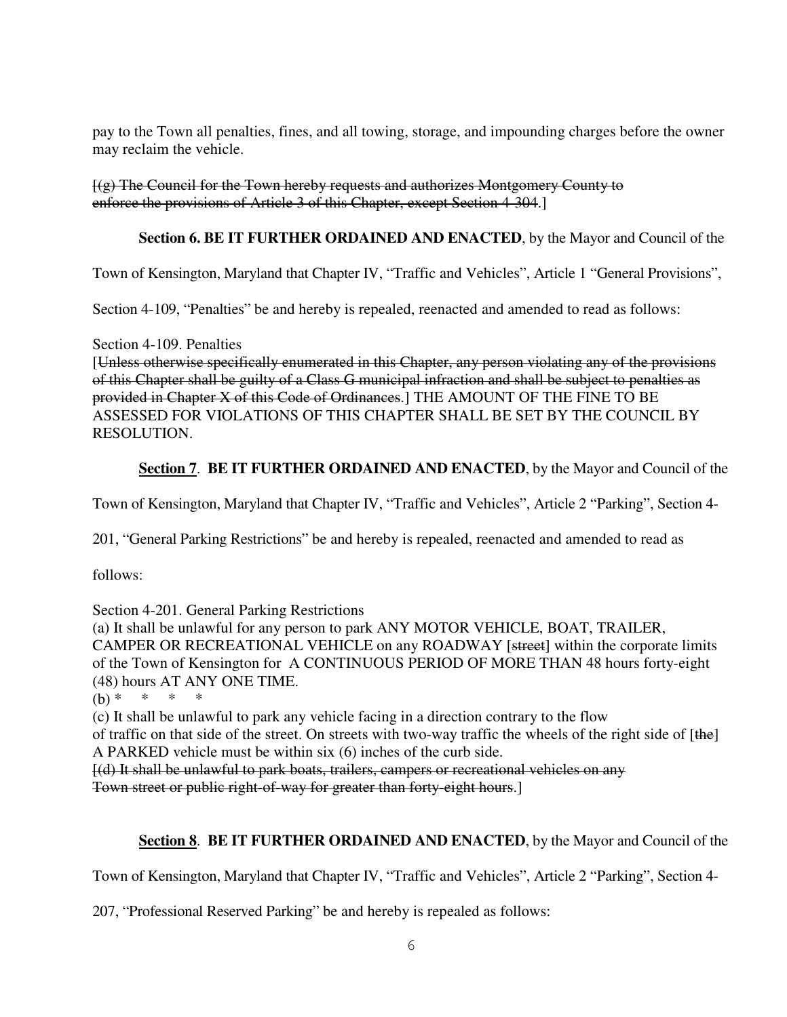pay to the Town all penalties, fines, and all towing, storage, and impounding charges before the owner may reclaim the vehicle.

[(g) The Council for the Town hereby requests and authorizes Montgomery County to enforce the provisions of Article 3 of this Chapter, except Section 4-304.]

#### **Section 6. BE IT FURTHER ORDAINED AND ENACTED**, by the Mayor and Council of the

Town of Kensington, Maryland that Chapter IV, "Traffic and Vehicles", Article 1 "General Provisions",

Section 4-109, "Penalties" be and hereby is repealed, reenacted and amended to read as follows:

Section 4-109. Penalties

[Unless otherwise specifically enumerated in this Chapter, any person violating any of the provisions of this Chapter shall be guilty of a Class G municipal infraction and shall be subject to penalties as provided in Chapter X of this Code of Ordinances.] THE AMOUNT OF THE FINE TO BE ASSESSED FOR VIOLATIONS OF THIS CHAPTER SHALL BE SET BY THE COUNCIL BY RESOLUTION.

#### **Section 7**. **BE IT FURTHER ORDAINED AND ENACTED**, by the Mayor and Council of the

Town of Kensington, Maryland that Chapter IV, "Traffic and Vehicles", Article 2 "Parking", Section 4-

201, "General Parking Restrictions" be and hereby is repealed, reenacted and amended to read as

follows:

Section 4-201. General Parking Restrictions

(a) It shall be unlawful for any person to park ANY MOTOR VEHICLE, BOAT, TRAILER, CAMPER OR RECREATIONAL VEHICLE on any ROADWAY [street] within the corporate limits of the Town of Kensington for A CONTINUOUS PERIOD OF MORE THAN 48 hours forty-eight (48) hours AT ANY ONE TIME.

(b)  $*$ 

(c) It shall be unlawful to park any vehicle facing in a direction contrary to the flow

of traffic on that side of the street. On streets with two-way traffic the wheels of the right side of [the] A PARKED vehicle must be within six (6) inches of the curb side.

[(d) It shall be unlawful to park boats, trailers, campers or recreational vehicles on any

Town street or public right-of-way for greater than forty-eight hours.]

#### **Section 8**. **BE IT FURTHER ORDAINED AND ENACTED**, by the Mayor and Council of the

Town of Kensington, Maryland that Chapter IV, "Traffic and Vehicles", Article 2 "Parking", Section 4-

207, "Professional Reserved Parking" be and hereby is repealed as follows: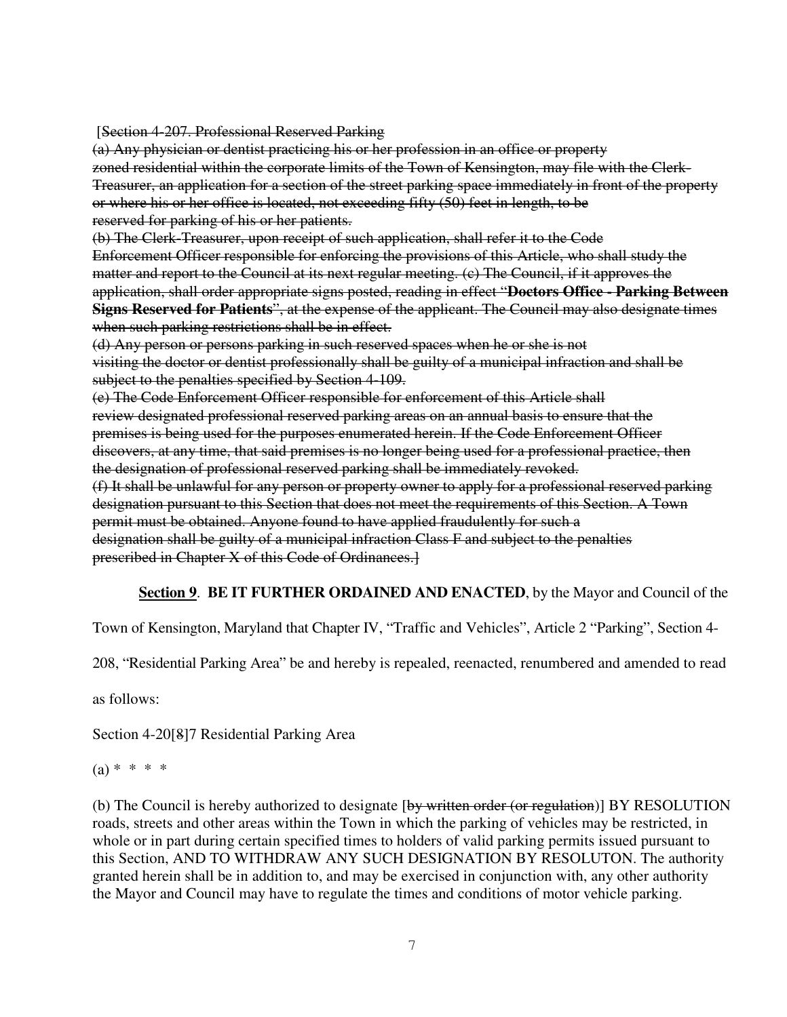[Section 4-207. Professional Reserved Parking

(a) Any physician or dentist practicing his or her profession in an office or property zoned residential within the corporate limits of the Town of Kensington, may file with the Clerk-Treasurer, an application for a section of the street parking space immediately in front of the property or where his or her office is located, not exceeding fifty (50) feet in length, to be reserved for parking of his or her patients.

(b) The Clerk-Treasurer, upon receipt of such application, shall refer it to the Code Enforcement Officer responsible for enforcing the provisions of this Article, who shall study the matter and report to the Council at its next regular meeting. (c) The Council, if it approves the application, shall order appropriate signs posted, reading in effect "**Doctors Office - Parking Between Signs Reserved for Patients**", at the expense of the applicant. The Council may also designate times when such parking restrictions shall be in effect.

(d) Any person or persons parking in such reserved spaces when he or she is not visiting the doctor or dentist professionally shall be guilty of a municipal infraction and shall be subject to the penalties specified by Section 4-109.

(e) The Code Enforcement Officer responsible for enforcement of this Article shall review designated professional reserved parking areas on an annual basis to ensure that the premises is being used for the purposes enumerated herein. If the Code Enforcement Officer discovers, at any time, that said premises is no longer being used for a professional practice, then the designation of professional reserved parking shall be immediately revoked. (f) It shall be unlawful for any person or property owner to apply for a professional reserved parking designation pursuant to this Section that does not meet the requirements of this Section. A Town permit must be obtained. Anyone found to have applied fraudulently for such a designation shall be guilty of a municipal infraction Class F and subject to the penalties prescribed in Chapter X of this Code of Ordinances.]

#### **Section 9**. **BE IT FURTHER ORDAINED AND ENACTED**, by the Mayor and Council of the

Town of Kensington, Maryland that Chapter IV, "Traffic and Vehicles", Article 2 "Parking", Section 4-

208, "Residential Parking Area" be and hereby is repealed, reenacted, renumbered and amended to read

as follows:

Section 4-20[8]7 Residential Parking Area

 $(a) * * * * *$ 

(b) The Council is hereby authorized to designate [by written order (or regulation)] BY RESOLUTION roads, streets and other areas within the Town in which the parking of vehicles may be restricted, in whole or in part during certain specified times to holders of valid parking permits issued pursuant to this Section, AND TO WITHDRAW ANY SUCH DESIGNATION BY RESOLUTON. The authority granted herein shall be in addition to, and may be exercised in conjunction with, any other authority the Mayor and Council may have to regulate the times and conditions of motor vehicle parking.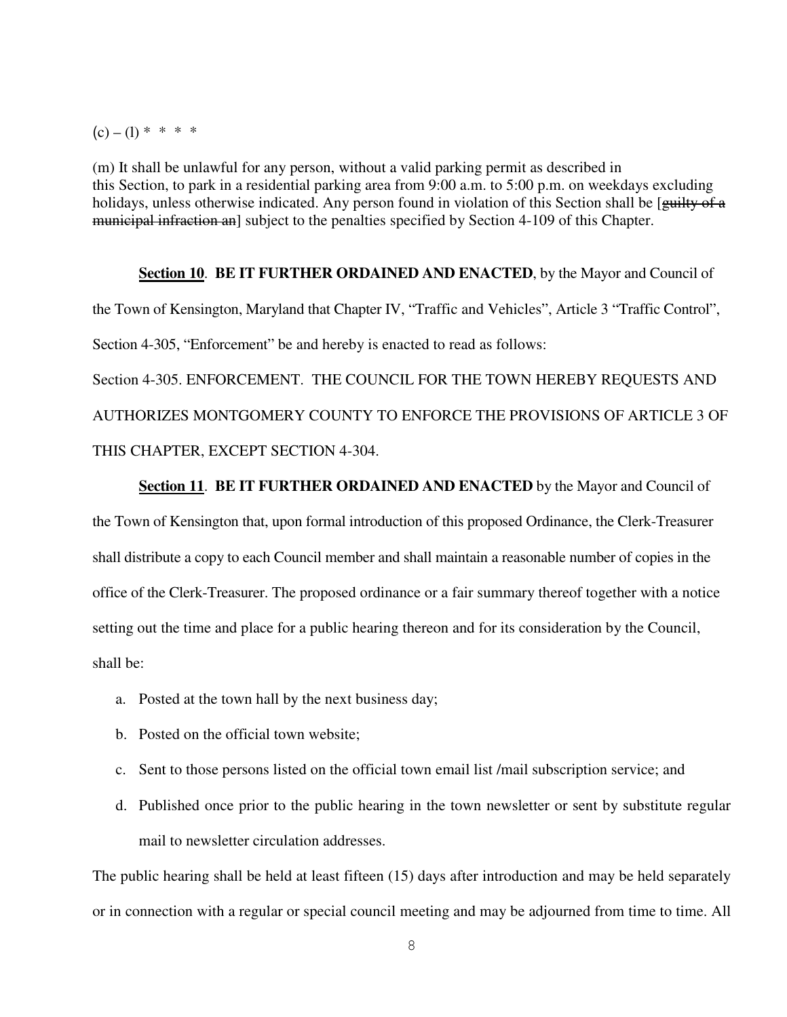$(c) - (1) * * * * *$ 

(m) It shall be unlawful for any person, without a valid parking permit as described in this Section, to park in a residential parking area from 9:00 a.m. to 5:00 p.m. on weekdays excluding holidays, unless otherwise indicated. Any person found in violation of this Section shall be [guilty of a municipal infraction an] subject to the penalties specified by Section 4-109 of this Chapter.

## **Section 10**. **BE IT FURTHER ORDAINED AND ENACTED**, by the Mayor and Council of the Town of Kensington, Maryland that Chapter IV, "Traffic and Vehicles", Article 3 "Traffic Control", Section 4-305, "Enforcement" be and hereby is enacted to read as follows:

Section 4-305. ENFORCEMENT. THE COUNCIL FOR THE TOWN HEREBY REQUESTS AND AUTHORIZES MONTGOMERY COUNTY TO ENFORCE THE PROVISIONS OF ARTICLE 3 OF THIS CHAPTER, EXCEPT SECTION 4-304.

#### **Section 11**. **BE IT FURTHER ORDAINED AND ENACTED** by the Mayor and Council of

the Town of Kensington that, upon formal introduction of this proposed Ordinance, the Clerk-Treasurer shall distribute a copy to each Council member and shall maintain a reasonable number of copies in the office of the Clerk-Treasurer. The proposed ordinance or a fair summary thereof together with a notice setting out the time and place for a public hearing thereon and for its consideration by the Council, shall be:

- a. Posted at the town hall by the next business day;
- b. Posted on the official town website;
- c. Sent to those persons listed on the official town email list /mail subscription service; and
- d. Published once prior to the public hearing in the town newsletter or sent by substitute regular mail to newsletter circulation addresses.

The public hearing shall be held at least fifteen (15) days after introduction and may be held separately or in connection with a regular or special council meeting and may be adjourned from time to time. All